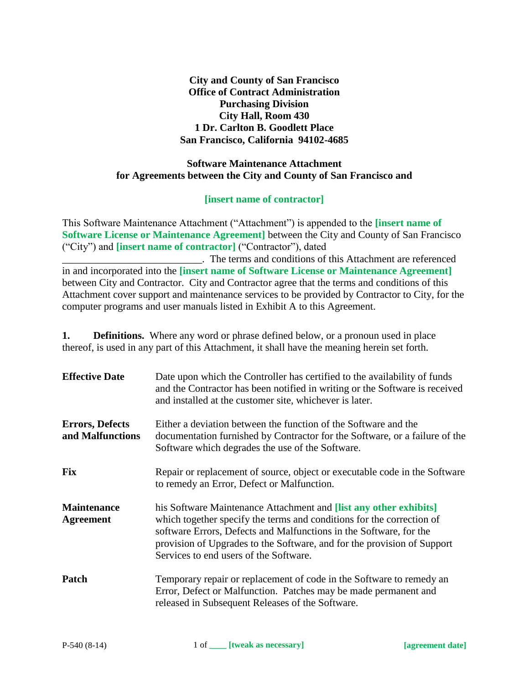**City and County of San Francisco Office of Contract Administration Purchasing Division City Hall, Room 430 1 Dr. Carlton B. Goodlett Place San Francisco, California 94102-4685**

#### **Software Maintenance Attachment for Agreements between the City and County of San Francisco and**

#### **[insert name of contractor]**

This Software Maintenance Attachment ("Attachment") is appended to the **[insert name of Software License or Maintenance Agreement]** between the City and County of San Francisco ("City") and **[insert name of contractor]** ("Contractor"), dated \_\_\_\_\_\_\_\_\_\_\_\_\_\_\_\_\_\_\_\_\_\_\_\_\_\_\_. The terms and conditions of this Attachment are referenced in and incorporated into the **[insert name of Software License or Maintenance Agreement]** between City and Contractor. City and Contractor agree that the terms and conditions of this Attachment cover support and maintenance services to be provided by Contractor to City, for the computer programs and user manuals listed in Exhibit A to this Agreement.

**1. Definitions.** Where any word or phrase defined below, or a pronoun used in place thereof, is used in any part of this Attachment, it shall have the meaning herein set forth.

| <b>Effective Date</b>                      | Date upon which the Controller has certified to the availability of funds<br>and the Contractor has been notified in writing or the Software is received<br>and installed at the customer site, whichever is later.                                                                                                                          |
|--------------------------------------------|----------------------------------------------------------------------------------------------------------------------------------------------------------------------------------------------------------------------------------------------------------------------------------------------------------------------------------------------|
| <b>Errors, Defects</b><br>and Malfunctions | Either a deviation between the function of the Software and the<br>documentation furnished by Contractor for the Software, or a failure of the<br>Software which degrades the use of the Software.                                                                                                                                           |
| <b>Fix</b>                                 | Repair or replacement of source, object or executable code in the Software<br>to remedy an Error, Defect or Malfunction.                                                                                                                                                                                                                     |
| <b>Maintenance</b><br><b>Agreement</b>     | his Software Maintenance Attachment and <b>[list any other exhibits]</b><br>which together specify the terms and conditions for the correction of<br>software Errors, Defects and Malfunctions in the Software, for the<br>provision of Upgrades to the Software, and for the provision of Support<br>Services to end users of the Software. |
| Patch                                      | Temporary repair or replacement of code in the Software to remedy an<br>Error, Defect or Malfunction. Patches may be made permanent and<br>released in Subsequent Releases of the Software.                                                                                                                                                  |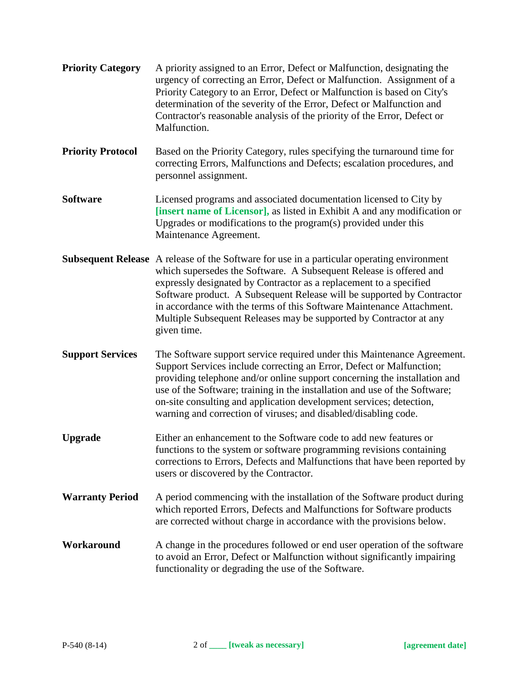| <b>Priority Category</b> | A priority assigned to an Error, Defect or Malfunction, designating the<br>urgency of correcting an Error, Defect or Malfunction. Assignment of a<br>Priority Category to an Error, Defect or Malfunction is based on City's<br>determination of the severity of the Error, Defect or Malfunction and<br>Contractor's reasonable analysis of the priority of the Error, Defect or<br>Malfunction.                                                                                     |
|--------------------------|---------------------------------------------------------------------------------------------------------------------------------------------------------------------------------------------------------------------------------------------------------------------------------------------------------------------------------------------------------------------------------------------------------------------------------------------------------------------------------------|
| <b>Priority Protocol</b> | Based on the Priority Category, rules specifying the turnaround time for<br>correcting Errors, Malfunctions and Defects; escalation procedures, and<br>personnel assignment.                                                                                                                                                                                                                                                                                                          |
| <b>Software</b>          | Licensed programs and associated documentation licensed to City by<br>[insert name of Licensor], as listed in Exhibit A and any modification or<br>Upgrades or modifications to the $program(s)$ provided under this<br>Maintenance Agreement.                                                                                                                                                                                                                                        |
|                          | <b>Subsequent Release</b> A release of the Software for use in a particular operating environment<br>which supersedes the Software. A Subsequent Release is offered and<br>expressly designated by Contractor as a replacement to a specified<br>Software product. A Subsequent Release will be supported by Contractor<br>in accordance with the terms of this Software Maintenance Attachment.<br>Multiple Subsequent Releases may be supported by Contractor at any<br>given time. |
| <b>Support Services</b>  | The Software support service required under this Maintenance Agreement.<br>Support Services include correcting an Error, Defect or Malfunction;<br>providing telephone and/or online support concerning the installation and<br>use of the Software; training in the installation and use of the Software;<br>on-site consulting and application development services; detection,<br>warning and correction of viruses; and disabled/disabling code.                                  |
| <b>Upgrade</b>           | Either an enhancement to the Software code to add new features or<br>functions to the system or software programming revisions containing<br>corrections to Errors, Defects and Malfunctions that have been reported by<br>users or discovered by the Contractor.                                                                                                                                                                                                                     |
| <b>Warranty Period</b>   | A period commencing with the installation of the Software product during<br>which reported Errors, Defects and Malfunctions for Software products<br>are corrected without charge in accordance with the provisions below.                                                                                                                                                                                                                                                            |
| Workaround               | A change in the procedures followed or end user operation of the software<br>to avoid an Error, Defect or Malfunction without significantly impairing<br>functionality or degrading the use of the Software.                                                                                                                                                                                                                                                                          |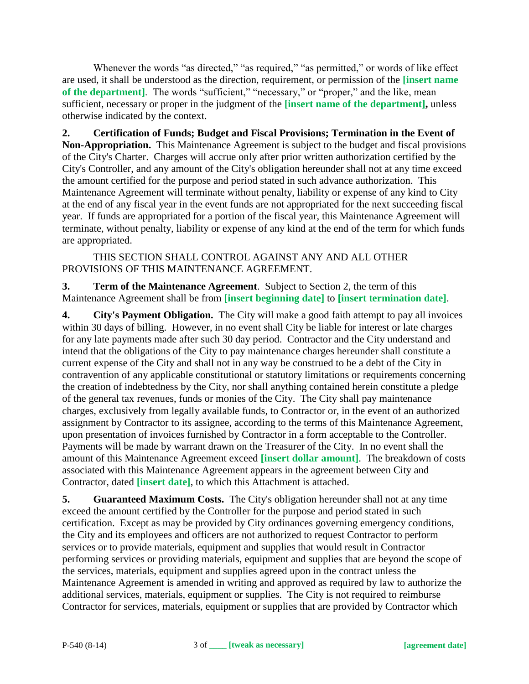Whenever the words "as directed," "as required," "as permitted," or words of like effect are used, it shall be understood as the direction, requirement, or permission of the **[insert name**  of the department]. The words "sufficient," "necessary," or "proper," and the like, mean sufficient, necessary or proper in the judgment of the **[insert name of the department],** unless otherwise indicated by the context.

**2. Certification of Funds; Budget and Fiscal Provisions; Termination in the Event of Non-Appropriation.** This Maintenance Agreement is subject to the budget and fiscal provisions of the City's Charter. Charges will accrue only after prior written authorization certified by the City's Controller, and any amount of the City's obligation hereunder shall not at any time exceed the amount certified for the purpose and period stated in such advance authorization. This Maintenance Agreement will terminate without penalty, liability or expense of any kind to City at the end of any fiscal year in the event funds are not appropriated for the next succeeding fiscal year. If funds are appropriated for a portion of the fiscal year, this Maintenance Agreement will terminate, without penalty, liability or expense of any kind at the end of the term for which funds are appropriated.

THIS SECTION SHALL CONTROL AGAINST ANY AND ALL OTHER PROVISIONS OF THIS MAINTENANCE AGREEMENT.

**3. Term of the Maintenance Agreement**. Subject to Section 2, the term of this Maintenance Agreement shall be from **[insert beginning date]** to **[insert termination date]**.

**4. City's Payment Obligation.** The City will make a good faith attempt to pay all invoices within 30 days of billing. However, in no event shall City be liable for interest or late charges for any late payments made after such 30 day period. Contractor and the City understand and intend that the obligations of the City to pay maintenance charges hereunder shall constitute a current expense of the City and shall not in any way be construed to be a debt of the City in contravention of any applicable constitutional or statutory limitations or requirements concerning the creation of indebtedness by the City, nor shall anything contained herein constitute a pledge of the general tax revenues, funds or monies of the City. The City shall pay maintenance charges, exclusively from legally available funds, to Contractor or, in the event of an authorized assignment by Contractor to its assignee, according to the terms of this Maintenance Agreement, upon presentation of invoices furnished by Contractor in a form acceptable to the Controller. Payments will be made by warrant drawn on the Treasurer of the City. In no event shall the amount of this Maintenance Agreement exceed **[insert dollar amount]**. The breakdown of costs associated with this Maintenance Agreement appears in the agreement between City and Contractor, dated **[insert date]**, to which this Attachment is attached.

**5. Guaranteed Maximum Costs.** The City's obligation hereunder shall not at any time exceed the amount certified by the Controller for the purpose and period stated in such certification. Except as may be provided by City ordinances governing emergency conditions, the City and its employees and officers are not authorized to request Contractor to perform services or to provide materials, equipment and supplies that would result in Contractor performing services or providing materials, equipment and supplies that are beyond the scope of the services, materials, equipment and supplies agreed upon in the contract unless the Maintenance Agreement is amended in writing and approved as required by law to authorize the additional services, materials, equipment or supplies. The City is not required to reimburse Contractor for services, materials, equipment or supplies that are provided by Contractor which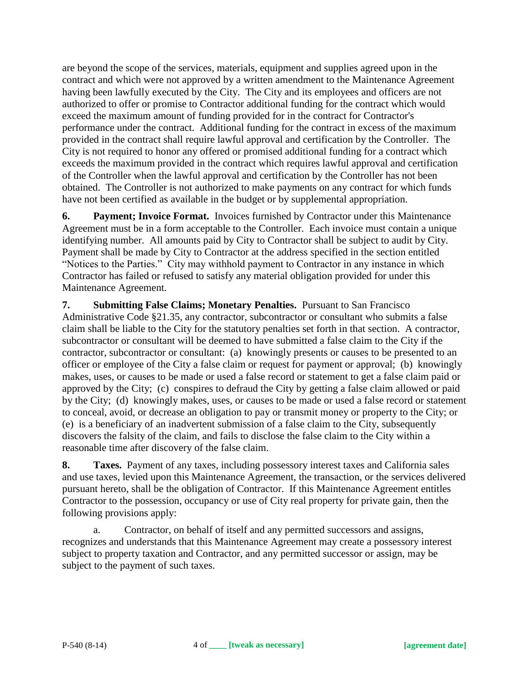are beyond the scope of the services, materials, equipment and supplies agreed upon in the contract and which were not approved by a written amendment to the Maintenance Agreement having been lawfully executed by the City. The City and its employees and officers are not authorized to offer or promise to Contractor additional funding for the contract which would exceed the maximum amount of funding provided for in the contract for Contractor's performance under the contract. Additional funding for the contract in excess of the maximum provided in the contract shall require lawful approval and certification by the Controller. The City is not required to honor any offered or promised additional funding for a contract which exceeds the maximum provided in the contract which requires lawful approval and certification of the Controller when the lawful approval and certification by the Controller has not been obtained. The Controller is not authorized to make payments on any contract for which funds have not been certified as available in the budget or by supplemental appropriation.

**6. Payment; Invoice Format.** Invoices furnished by Contractor under this Maintenance Agreement must be in a form acceptable to the Controller. Each invoice must contain a unique identifying number. All amounts paid by City to Contractor shall be subject to audit by City. Payment shall be made by City to Contractor at the address specified in the section entitled "Notices to the Parties." City may withhold payment to Contractor in any instance in which Contractor has failed or refused to satisfy any material obligation provided for under this Maintenance Agreement.

**7. Submitting False Claims; Monetary Penalties.** Pursuant to San Francisco Administrative Code §21.35, any contractor, subcontractor or consultant who submits a false claim shall be liable to the City for the statutory penalties set forth in that section. A contractor, subcontractor or consultant will be deemed to have submitted a false claim to the City if the contractor, subcontractor or consultant: (a) knowingly presents or causes to be presented to an officer or employee of the City a false claim or request for payment or approval; (b) knowingly makes, uses, or causes to be made or used a false record or statement to get a false claim paid or approved by the City; (c) conspires to defraud the City by getting a false claim allowed or paid by the City; (d) knowingly makes, uses, or causes to be made or used a false record or statement to conceal, avoid, or decrease an obligation to pay or transmit money or property to the City; or (e) is a beneficiary of an inadvertent submission of a false claim to the City, subsequently discovers the falsity of the claim, and fails to disclose the false claim to the City within a reasonable time after discovery of the false claim.

**8. Taxes.** Payment of any taxes, including possessory interest taxes and California sales and use taxes, levied upon this Maintenance Agreement, the transaction, or the services delivered pursuant hereto, shall be the obligation of Contractor. If this Maintenance Agreement entitles Contractor to the possession, occupancy or use of City real property for private gain, then the following provisions apply:

a. Contractor, on behalf of itself and any permitted successors and assigns, recognizes and understands that this Maintenance Agreement may create a possessory interest subject to property taxation and Contractor, and any permitted successor or assign, may be subject to the payment of such taxes.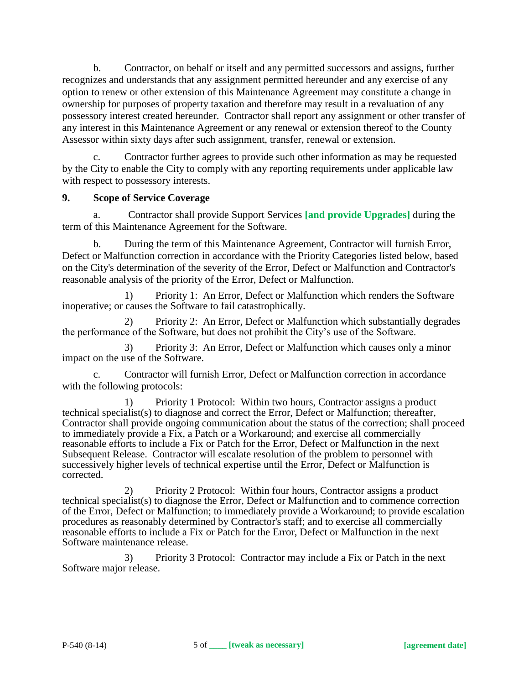b. Contractor, on behalf or itself and any permitted successors and assigns, further recognizes and understands that any assignment permitted hereunder and any exercise of any option to renew or other extension of this Maintenance Agreement may constitute a change in ownership for purposes of property taxation and therefore may result in a revaluation of any possessory interest created hereunder. Contractor shall report any assignment or other transfer of any interest in this Maintenance Agreement or any renewal or extension thereof to the County Assessor within sixty days after such assignment, transfer, renewal or extension.

Contractor further agrees to provide such other information as may be requested by the City to enable the City to comply with any reporting requirements under applicable law with respect to possessory interests.

#### **9. Scope of Service Coverage**

a. Contractor shall provide Support Services **[and provide Upgrades]** during the term of this Maintenance Agreement for the Software.

b. During the term of this Maintenance Agreement, Contractor will furnish Error, Defect or Malfunction correction in accordance with the Priority Categories listed below, based on the City's determination of the severity of the Error, Defect or Malfunction and Contractor's reasonable analysis of the priority of the Error, Defect or Malfunction.

1) Priority 1: An Error, Defect or Malfunction which renders the Software inoperative; or causes the Software to fail catastrophically.

2) Priority 2: An Error, Defect or Malfunction which substantially degrades the performance of the Software, but does not prohibit the City's use of the Software.

3) Priority 3: An Error, Defect or Malfunction which causes only a minor impact on the use of the Software.

c. Contractor will furnish Error, Defect or Malfunction correction in accordance with the following protocols:

1) Priority 1 Protocol: Within two hours, Contractor assigns a product technical specialist(s) to diagnose and correct the Error, Defect or Malfunction; thereafter, Contractor shall provide ongoing communication about the status of the correction; shall proceed to immediately provide a Fix, a Patch or a Workaround; and exercise all commercially reasonable efforts to include a Fix or Patch for the Error, Defect or Malfunction in the next Subsequent Release. Contractor will escalate resolution of the problem to personnel with successively higher levels of technical expertise until the Error, Defect or Malfunction is corrected.

2) Priority 2 Protocol: Within four hours, Contractor assigns a product technical specialist(s) to diagnose the Error, Defect or Malfunction and to commence correction of the Error, Defect or Malfunction; to immediately provide a Workaround; to provide escalation procedures as reasonably determined by Contractor's staff; and to exercise all commercially reasonable efforts to include a Fix or Patch for the Error, Defect or Malfunction in the next Software maintenance release.

3) Priority 3 Protocol: Contractor may include a Fix or Patch in the next Software major release.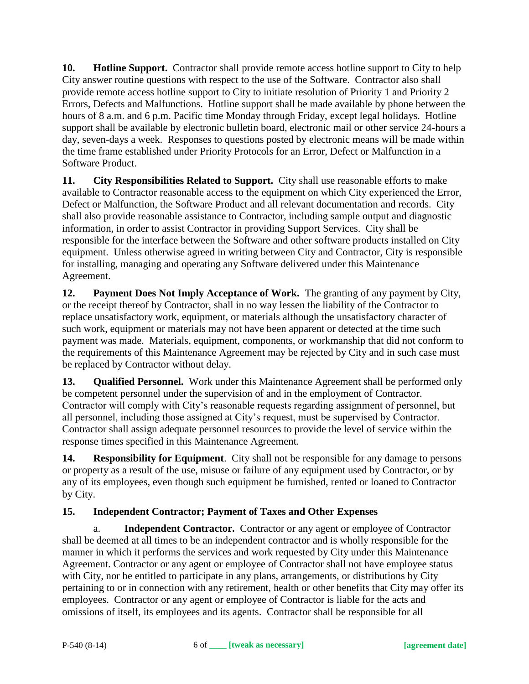**10. Hotline Support.** Contractor shall provide remote access hotline support to City to help City answer routine questions with respect to the use of the Software. Contractor also shall provide remote access hotline support to City to initiate resolution of Priority 1 and Priority 2 Errors, Defects and Malfunctions. Hotline support shall be made available by phone between the hours of 8 a.m. and 6 p.m. Pacific time Monday through Friday, except legal holidays. Hotline support shall be available by electronic bulletin board, electronic mail or other service 24-hours a day, seven-days a week. Responses to questions posted by electronic means will be made within the time frame established under Priority Protocols for an Error, Defect or Malfunction in a Software Product.

**11. City Responsibilities Related to Support.** City shall use reasonable efforts to make available to Contractor reasonable access to the equipment on which City experienced the Error, Defect or Malfunction, the Software Product and all relevant documentation and records. City shall also provide reasonable assistance to Contractor, including sample output and diagnostic information, in order to assist Contractor in providing Support Services. City shall be responsible for the interface between the Software and other software products installed on City equipment. Unless otherwise agreed in writing between City and Contractor, City is responsible for installing, managing and operating any Software delivered under this Maintenance Agreement.

**12. Payment Does Not Imply Acceptance of Work.** The granting of any payment by City, or the receipt thereof by Contractor, shall in no way lessen the liability of the Contractor to replace unsatisfactory work, equipment, or materials although the unsatisfactory character of such work, equipment or materials may not have been apparent or detected at the time such payment was made. Materials, equipment, components, or workmanship that did not conform to the requirements of this Maintenance Agreement may be rejected by City and in such case must be replaced by Contractor without delay.

**13. Qualified Personnel.** Work under this Maintenance Agreement shall be performed only be competent personnel under the supervision of and in the employment of Contractor. Contractor will comply with City's reasonable requests regarding assignment of personnel, but all personnel, including those assigned at City's request, must be supervised by Contractor. Contractor shall assign adequate personnel resources to provide the level of service within the response times specified in this Maintenance Agreement.

**14. Responsibility for Equipment**. City shall not be responsible for any damage to persons or property as a result of the use, misuse or failure of any equipment used by Contractor, or by any of its employees, even though such equipment be furnished, rented or loaned to Contractor by City.

# **15. Independent Contractor; Payment of Taxes and Other Expenses**

a. **Independent Contractor.** Contractor or any agent or employee of Contractor shall be deemed at all times to be an independent contractor and is wholly responsible for the manner in which it performs the services and work requested by City under this Maintenance Agreement. Contractor or any agent or employee of Contractor shall not have employee status with City, nor be entitled to participate in any plans, arrangements, or distributions by City pertaining to or in connection with any retirement, health or other benefits that City may offer its employees. Contractor or any agent or employee of Contractor is liable for the acts and omissions of itself, its employees and its agents. Contractor shall be responsible for all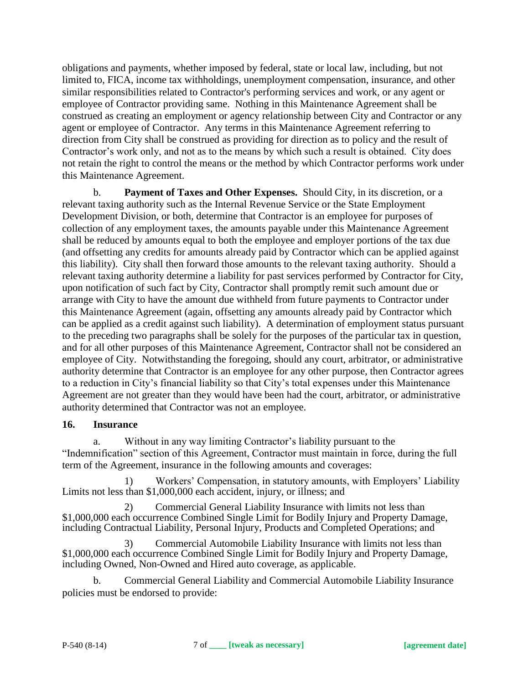obligations and payments, whether imposed by federal, state or local law, including, but not limited to, FICA, income tax withholdings, unemployment compensation, insurance, and other similar responsibilities related to Contractor's performing services and work, or any agent or employee of Contractor providing same. Nothing in this Maintenance Agreement shall be construed as creating an employment or agency relationship between City and Contractor or any agent or employee of Contractor. Any terms in this Maintenance Agreement referring to direction from City shall be construed as providing for direction as to policy and the result of Contractor's work only, and not as to the means by which such a result is obtained. City does not retain the right to control the means or the method by which Contractor performs work under this Maintenance Agreement.

b. **Payment of Taxes and Other Expenses.** Should City, in its discretion, or a relevant taxing authority such as the Internal Revenue Service or the State Employment Development Division, or both, determine that Contractor is an employee for purposes of collection of any employment taxes, the amounts payable under this Maintenance Agreement shall be reduced by amounts equal to both the employee and employer portions of the tax due (and offsetting any credits for amounts already paid by Contractor which can be applied against this liability). City shall then forward those amounts to the relevant taxing authority. Should a relevant taxing authority determine a liability for past services performed by Contractor for City, upon notification of such fact by City, Contractor shall promptly remit such amount due or arrange with City to have the amount due withheld from future payments to Contractor under this Maintenance Agreement (again, offsetting any amounts already paid by Contractor which can be applied as a credit against such liability). A determination of employment status pursuant to the preceding two paragraphs shall be solely for the purposes of the particular tax in question, and for all other purposes of this Maintenance Agreement, Contractor shall not be considered an employee of City. Notwithstanding the foregoing, should any court, arbitrator, or administrative authority determine that Contractor is an employee for any other purpose, then Contractor agrees to a reduction in City's financial liability so that City's total expenses under this Maintenance Agreement are not greater than they would have been had the court, arbitrator, or administrative authority determined that Contractor was not an employee.

#### **16. Insurance**

a. Without in any way limiting Contractor's liability pursuant to the "Indemnification" section of this Agreement, Contractor must maintain in force, during the full term of the Agreement, insurance in the following amounts and coverages:

1) Workers' Compensation, in statutory amounts, with Employers' Liability Limits not less than \$1,000,000 each accident, injury, or illness; and

2) Commercial General Liability Insurance with limits not less than \$1,000,000 each occurrence Combined Single Limit for Bodily Injury and Property Damage, including Contractual Liability, Personal Injury, Products and Completed Operations; and

3) Commercial Automobile Liability Insurance with limits not less than \$1,000,000 each occurrence Combined Single Limit for Bodily Injury and Property Damage, including Owned, Non-Owned and Hired auto coverage, as applicable.

b. Commercial General Liability and Commercial Automobile Liability Insurance policies must be endorsed to provide: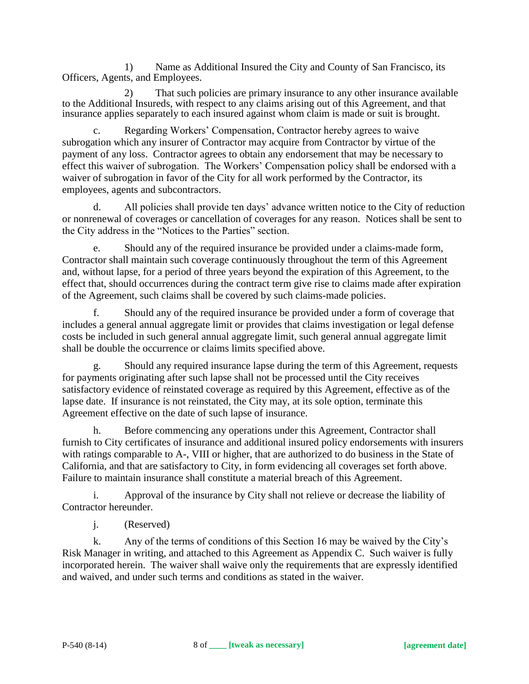1) Name as Additional Insured the City and County of San Francisco, its Officers, Agents, and Employees.

2) That such policies are primary insurance to any other insurance available to the Additional Insureds, with respect to any claims arising out of this Agreement, and that insurance applies separately to each insured against whom claim is made or suit is brought.

c. Regarding Workers' Compensation, Contractor hereby agrees to waive subrogation which any insurer of Contractor may acquire from Contractor by virtue of the payment of any loss. Contractor agrees to obtain any endorsement that may be necessary to effect this waiver of subrogation. The Workers' Compensation policy shall be endorsed with a waiver of subrogation in favor of the City for all work performed by the Contractor, its employees, agents and subcontractors.

d. All policies shall provide ten days' advance written notice to the City of reduction or nonrenewal of coverages or cancellation of coverages for any reason. Notices shall be sent to the City address in the "Notices to the Parties" section.

e. Should any of the required insurance be provided under a claims-made form, Contractor shall maintain such coverage continuously throughout the term of this Agreement and, without lapse, for a period of three years beyond the expiration of this Agreement, to the effect that, should occurrences during the contract term give rise to claims made after expiration of the Agreement, such claims shall be covered by such claims-made policies.

f. Should any of the required insurance be provided under a form of coverage that includes a general annual aggregate limit or provides that claims investigation or legal defense costs be included in such general annual aggregate limit, such general annual aggregate limit shall be double the occurrence or claims limits specified above.

g. Should any required insurance lapse during the term of this Agreement, requests for payments originating after such lapse shall not be processed until the City receives satisfactory evidence of reinstated coverage as required by this Agreement, effective as of the lapse date. If insurance is not reinstated, the City may, at its sole option, terminate this Agreement effective on the date of such lapse of insurance.

h. Before commencing any operations under this Agreement, Contractor shall furnish to City certificates of insurance and additional insured policy endorsements with insurers with ratings comparable to A-, VIII or higher, that are authorized to do business in the State of California, and that are satisfactory to City, in form evidencing all coverages set forth above. Failure to maintain insurance shall constitute a material breach of this Agreement.

i. Approval of the insurance by City shall not relieve or decrease the liability of Contractor hereunder.

j. (Reserved)

k. Any of the terms of conditions of this Section 16 may be waived by the City's Risk Manager in writing, and attached to this Agreement as Appendix C. Such waiver is fully incorporated herein. The waiver shall waive only the requirements that are expressly identified and waived, and under such terms and conditions as stated in the waiver.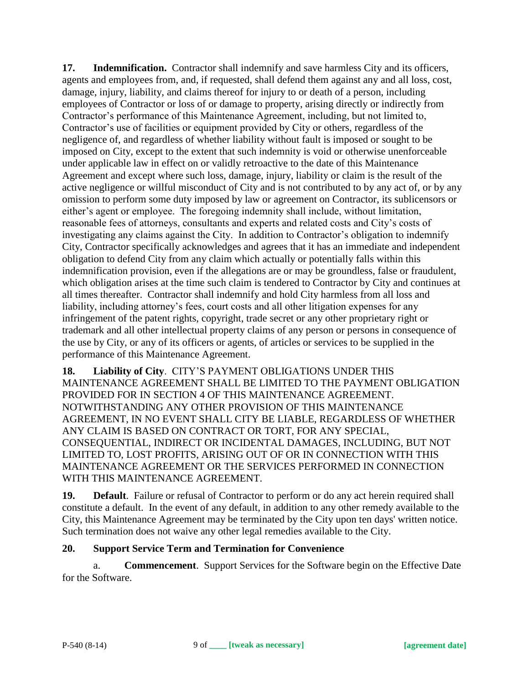**17. Indemnification.** Contractor shall indemnify and save harmless City and its officers, agents and employees from, and, if requested, shall defend them against any and all loss, cost, damage, injury, liability, and claims thereof for injury to or death of a person, including employees of Contractor or loss of or damage to property, arising directly or indirectly from Contractor's performance of this Maintenance Agreement, including, but not limited to, Contractor's use of facilities or equipment provided by City or others, regardless of the negligence of, and regardless of whether liability without fault is imposed or sought to be imposed on City, except to the extent that such indemnity is void or otherwise unenforceable under applicable law in effect on or validly retroactive to the date of this Maintenance Agreement and except where such loss, damage, injury, liability or claim is the result of the active negligence or willful misconduct of City and is not contributed to by any act of, or by any omission to perform some duty imposed by law or agreement on Contractor, its sublicensors or either's agent or employee. The foregoing indemnity shall include, without limitation, reasonable fees of attorneys, consultants and experts and related costs and City's costs of investigating any claims against the City. In addition to Contractor's obligation to indemnify City, Contractor specifically acknowledges and agrees that it has an immediate and independent obligation to defend City from any claim which actually or potentially falls within this indemnification provision, even if the allegations are or may be groundless, false or fraudulent, which obligation arises at the time such claim is tendered to Contractor by City and continues at all times thereafter. Contractor shall indemnify and hold City harmless from all loss and liability, including attorney's fees, court costs and all other litigation expenses for any infringement of the patent rights, copyright, trade secret or any other proprietary right or trademark and all other intellectual property claims of any person or persons in consequence of the use by City, or any of its officers or agents, of articles or services to be supplied in the performance of this Maintenance Agreement.

**18. Liability of City**. CITY'S PAYMENT OBLIGATIONS UNDER THIS MAINTENANCE AGREEMENT SHALL BE LIMITED TO THE PAYMENT OBLIGATION PROVIDED FOR IN SECTION 4 OF THIS MAINTENANCE AGREEMENT. NOTWITHSTANDING ANY OTHER PROVISION OF THIS MAINTENANCE AGREEMENT, IN NO EVENT SHALL CITY BE LIABLE, REGARDLESS OF WHETHER ANY CLAIM IS BASED ON CONTRACT OR TORT, FOR ANY SPECIAL, CONSEQUENTIAL, INDIRECT OR INCIDENTAL DAMAGES, INCLUDING, BUT NOT LIMITED TO, LOST PROFITS, ARISING OUT OF OR IN CONNECTION WITH THIS MAINTENANCE AGREEMENT OR THE SERVICES PERFORMED IN CONNECTION WITH THIS MAINTENANCE AGREEMENT.

**19. Default**. Failure or refusal of Contractor to perform or do any act herein required shall constitute a default. In the event of any default, in addition to any other remedy available to the City, this Maintenance Agreement may be terminated by the City upon ten days' written notice. Such termination does not waive any other legal remedies available to the City.

#### **20. Support Service Term and Termination for Convenience**

a. **Commencement**. Support Services for the Software begin on the Effective Date for the Software.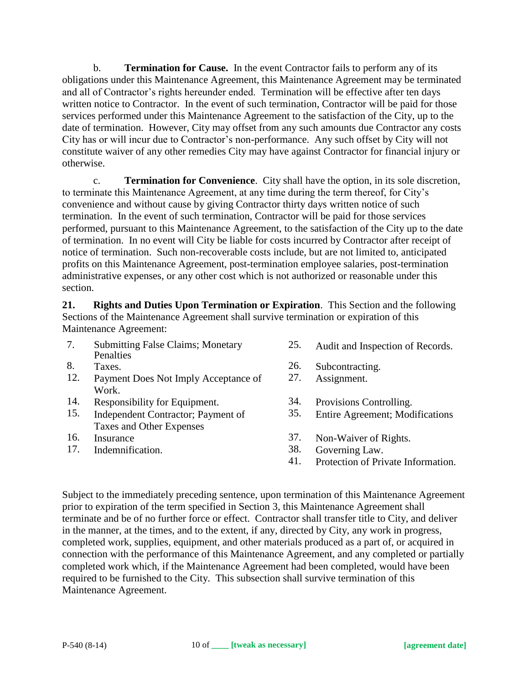b. **Termination for Cause.** In the event Contractor fails to perform any of its obligations under this Maintenance Agreement, this Maintenance Agreement may be terminated and all of Contractor's rights hereunder ended. Termination will be effective after ten days written notice to Contractor. In the event of such termination, Contractor will be paid for those services performed under this Maintenance Agreement to the satisfaction of the City, up to the date of termination. However, City may offset from any such amounts due Contractor any costs City has or will incur due to Contractor's non-performance. Any such offset by City will not constitute waiver of any other remedies City may have against Contractor for financial injury or otherwise.

c. **Termination for Convenience**. City shall have the option, in its sole discretion, to terminate this Maintenance Agreement, at any time during the term thereof, for City's convenience and without cause by giving Contractor thirty days written notice of such termination. In the event of such termination, Contractor will be paid for those services performed, pursuant to this Maintenance Agreement, to the satisfaction of the City up to the date of termination. In no event will City be liable for costs incurred by Contractor after receipt of notice of termination. Such non-recoverable costs include, but are not limited to, anticipated profits on this Maintenance Agreement, post-termination employee salaries, post-termination administrative expenses, or any other cost which is not authorized or reasonable under this section.

**21. Rights and Duties Upon Termination or Expiration**. This Section and the following Sections of the Maintenance Agreement shall survive termination or expiration of this Maintenance Agreement:

- 7. Submitting False Claims; Monetary Penalties
- 
- 12. Payment Does Not Imply Acceptance of Work.
- 
- 14. Responsibility for Equipment. 34. Provisions Controlling.<br>15. Independent Contractor: Payment of 35. Entire Agreement: Mod 15. Independent Contractor; Payment of Taxes and Other Expenses
- 
- 17. Indemnification. 38. Governing Law.<br>41. Protection of Priv
- 25. Audit and Inspection of Records.
- 8. Taxes. 26. Subcontracting.
	- 27. Assignment.
	-
	- 35. Entire Agreement; Modifications
- 16. Insurance 37. Non-Waiver of Rights.
	-
	- Protection of Private Information.

Subject to the immediately preceding sentence, upon termination of this Maintenance Agreement prior to expiration of the term specified in Section 3, this Maintenance Agreement shall terminate and be of no further force or effect. Contractor shall transfer title to City, and deliver in the manner, at the times, and to the extent, if any, directed by City, any work in progress, completed work, supplies, equipment, and other materials produced as a part of, or acquired in connection with the performance of this Maintenance Agreement, and any completed or partially completed work which, if the Maintenance Agreement had been completed, would have been required to be furnished to the City. This subsection shall survive termination of this Maintenance Agreement.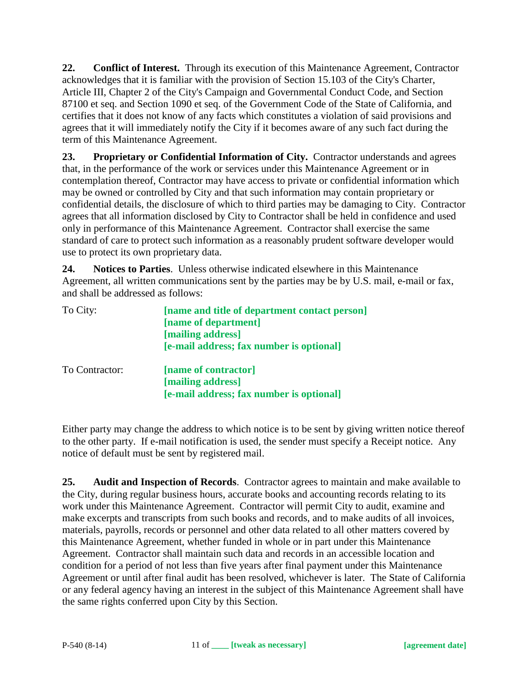**22. Conflict of Interest.** Through its execution of this Maintenance Agreement, Contractor acknowledges that it is familiar with the provision of Section 15.103 of the City's Charter, Article III, Chapter 2 of the City's Campaign and Governmental Conduct Code, and Section 87100 et seq. and Section 1090 et seq. of the Government Code of the State of California, and certifies that it does not know of any facts which constitutes a violation of said provisions and agrees that it will immediately notify the City if it becomes aware of any such fact during the term of this Maintenance Agreement.

**23. Proprietary or Confidential Information of City.** Contractor understands and agrees that, in the performance of the work or services under this Maintenance Agreement or in contemplation thereof, Contractor may have access to private or confidential information which may be owned or controlled by City and that such information may contain proprietary or confidential details, the disclosure of which to third parties may be damaging to City. Contractor agrees that all information disclosed by City to Contractor shall be held in confidence and used only in performance of this Maintenance Agreement. Contractor shall exercise the same standard of care to protect such information as a reasonably prudent software developer would use to protect its own proprietary data.

**24. Notices to Parties**. Unless otherwise indicated elsewhere in this Maintenance Agreement, all written communications sent by the parties may be by U.S. mail, e-mail or fax, and shall be addressed as follows:

| To City:       | [name and title of department contact person]<br>[name of department]<br>[mailing address] |
|----------------|--------------------------------------------------------------------------------------------|
|                | [e-mail address; fax number is optional]                                                   |
| To Contractor: | [name of contractor]<br>[mailing address]                                                  |
|                | [e-mail address; fax number is optional]                                                   |

Either party may change the address to which notice is to be sent by giving written notice thereof to the other party. If e-mail notification is used, the sender must specify a Receipt notice. Any notice of default must be sent by registered mail.

**25. Audit and Inspection of Records**. Contractor agrees to maintain and make available to the City, during regular business hours, accurate books and accounting records relating to its work under this Maintenance Agreement. Contractor will permit City to audit, examine and make excerpts and transcripts from such books and records, and to make audits of all invoices, materials, payrolls, records or personnel and other data related to all other matters covered by this Maintenance Agreement, whether funded in whole or in part under this Maintenance Agreement. Contractor shall maintain such data and records in an accessible location and condition for a period of not less than five years after final payment under this Maintenance Agreement or until after final audit has been resolved, whichever is later. The State of California or any federal agency having an interest in the subject of this Maintenance Agreement shall have the same rights conferred upon City by this Section.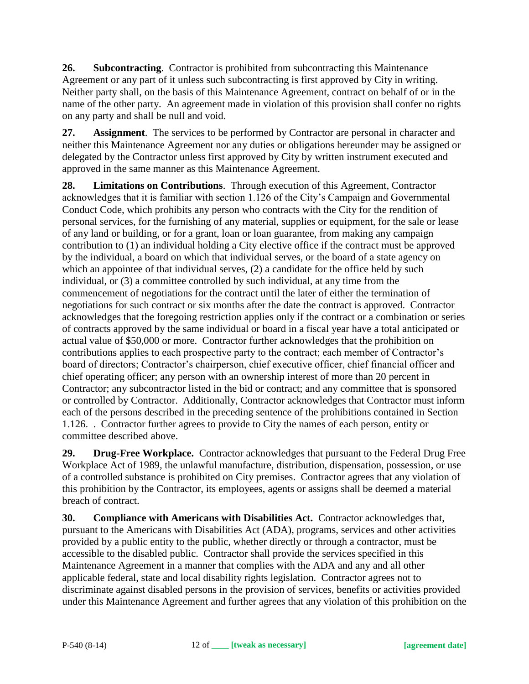**26. Subcontracting**. Contractor is prohibited from subcontracting this Maintenance Agreement or any part of it unless such subcontracting is first approved by City in writing. Neither party shall, on the basis of this Maintenance Agreement, contract on behalf of or in the name of the other party. An agreement made in violation of this provision shall confer no rights on any party and shall be null and void.

**27. Assignment**. The services to be performed by Contractor are personal in character and neither this Maintenance Agreement nor any duties or obligations hereunder may be assigned or delegated by the Contractor unless first approved by City by written instrument executed and approved in the same manner as this Maintenance Agreement.

**28. Limitations on Contributions**. Through execution of this Agreement, Contractor acknowledges that it is familiar with section 1.126 of the City's Campaign and Governmental Conduct Code, which prohibits any person who contracts with the City for the rendition of personal services, for the furnishing of any material, supplies or equipment, for the sale or lease of any land or building, or for a grant, loan or loan guarantee, from making any campaign contribution to (1) an individual holding a City elective office if the contract must be approved by the individual, a board on which that individual serves, or the board of a state agency on which an appointee of that individual serves, (2) a candidate for the office held by such individual, or (3) a committee controlled by such individual, at any time from the commencement of negotiations for the contract until the later of either the termination of negotiations for such contract or six months after the date the contract is approved. Contractor acknowledges that the foregoing restriction applies only if the contract or a combination or series of contracts approved by the same individual or board in a fiscal year have a total anticipated or actual value of \$50,000 or more. Contractor further acknowledges that the prohibition on contributions applies to each prospective party to the contract; each member of Contractor's board of directors; Contractor's chairperson, chief executive officer, chief financial officer and chief operating officer; any person with an ownership interest of more than 20 percent in Contractor; any subcontractor listed in the bid or contract; and any committee that is sponsored or controlled by Contractor. Additionally, Contractor acknowledges that Contractor must inform each of the persons described in the preceding sentence of the prohibitions contained in Section 1.126. . Contractor further agrees to provide to City the names of each person, entity or committee described above.

**29. Drug-Free Workplace.** Contractor acknowledges that pursuant to the Federal Drug Free Workplace Act of 1989, the unlawful manufacture, distribution, dispensation, possession, or use of a controlled substance is prohibited on City premises. Contractor agrees that any violation of this prohibition by the Contractor, its employees, agents or assigns shall be deemed a material breach of contract.

**30. Compliance with Americans with Disabilities Act.** Contractor acknowledges that, pursuant to the Americans with Disabilities Act (ADA), programs, services and other activities provided by a public entity to the public, whether directly or through a contractor, must be accessible to the disabled public. Contractor shall provide the services specified in this Maintenance Agreement in a manner that complies with the ADA and any and all other applicable federal, state and local disability rights legislation. Contractor agrees not to discriminate against disabled persons in the provision of services, benefits or activities provided under this Maintenance Agreement and further agrees that any violation of this prohibition on the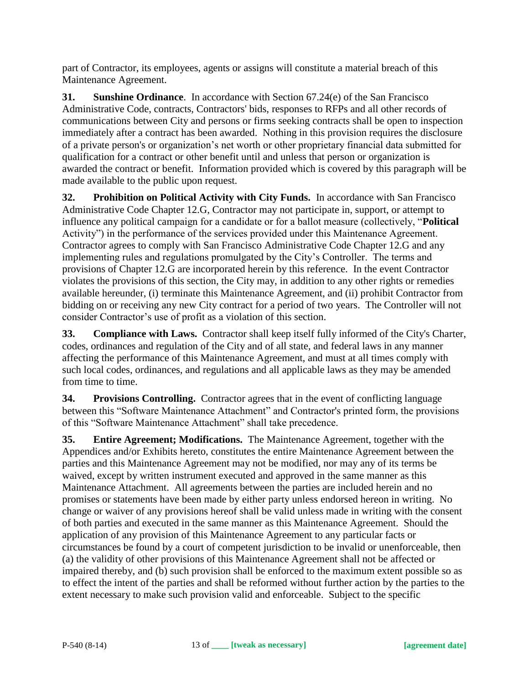part of Contractor, its employees, agents or assigns will constitute a material breach of this Maintenance Agreement.

**31. Sunshine Ordinance**. In accordance with Section 67.24(e) of the San Francisco Administrative Code, contracts, Contractors' bids, responses to RFPs and all other records of communications between City and persons or firms seeking contracts shall be open to inspection immediately after a contract has been awarded. Nothing in this provision requires the disclosure of a private person's or organization's net worth or other proprietary financial data submitted for qualification for a contract or other benefit until and unless that person or organization is awarded the contract or benefit. Information provided which is covered by this paragraph will be made available to the public upon request.

**32. Prohibition on Political Activity with City Funds.** In accordance with San Francisco Administrative Code Chapter 12.G, Contractor may not participate in, support, or attempt to influence any political campaign for a candidate or for a ballot measure (collectively, "**Political** Activity") in the performance of the services provided under this Maintenance Agreement. Contractor agrees to comply with San Francisco Administrative Code Chapter 12.G and any implementing rules and regulations promulgated by the City's Controller. The terms and provisions of Chapter 12.G are incorporated herein by this reference. In the event Contractor violates the provisions of this section, the City may, in addition to any other rights or remedies available hereunder, (i) terminate this Maintenance Agreement, and (ii) prohibit Contractor from bidding on or receiving any new City contract for a period of two years. The Controller will not consider Contractor's use of profit as a violation of this section.

**33. Compliance with Laws.** Contractor shall keep itself fully informed of the City's Charter, codes, ordinances and regulation of the City and of all state, and federal laws in any manner affecting the performance of this Maintenance Agreement, and must at all times comply with such local codes, ordinances, and regulations and all applicable laws as they may be amended from time to time.

**34. Provisions Controlling.** Contractor agrees that in the event of conflicting language between this "Software Maintenance Attachment" and Contractor's printed form, the provisions of this "Software Maintenance Attachment" shall take precedence.

**35. Entire Agreement; Modifications.** The Maintenance Agreement, together with the Appendices and/or Exhibits hereto, constitutes the entire Maintenance Agreement between the parties and this Maintenance Agreement may not be modified, nor may any of its terms be waived, except by written instrument executed and approved in the same manner as this Maintenance Attachment. All agreements between the parties are included herein and no promises or statements have been made by either party unless endorsed hereon in writing. No change or waiver of any provisions hereof shall be valid unless made in writing with the consent of both parties and executed in the same manner as this Maintenance Agreement. Should the application of any provision of this Maintenance Agreement to any particular facts or circumstances be found by a court of competent jurisdiction to be invalid or unenforceable, then (a) the validity of other provisions of this Maintenance Agreement shall not be affected or impaired thereby, and (b) such provision shall be enforced to the maximum extent possible so as to effect the intent of the parties and shall be reformed without further action by the parties to the extent necessary to make such provision valid and enforceable. Subject to the specific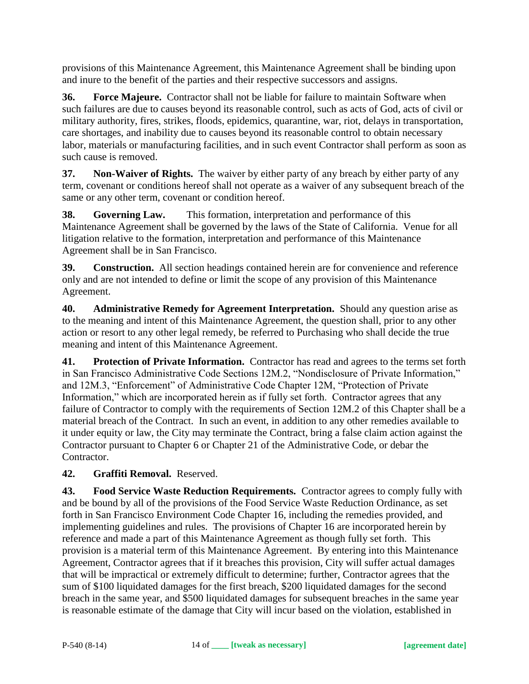provisions of this Maintenance Agreement, this Maintenance Agreement shall be binding upon and inure to the benefit of the parties and their respective successors and assigns.

**36. Force Majeure.** Contractor shall not be liable for failure to maintain Software when such failures are due to causes beyond its reasonable control, such as acts of God, acts of civil or military authority, fires, strikes, floods, epidemics, quarantine, war, riot, delays in transportation, care shortages, and inability due to causes beyond its reasonable control to obtain necessary labor, materials or manufacturing facilities, and in such event Contractor shall perform as soon as such cause is removed.

**37. Non-Waiver of Rights.** The waiver by either party of any breach by either party of any term, covenant or conditions hereof shall not operate as a waiver of any subsequent breach of the same or any other term, covenant or condition hereof.

**38. Governing Law.** This formation, interpretation and performance of this Maintenance Agreement shall be governed by the laws of the State of California. Venue for all litigation relative to the formation, interpretation and performance of this Maintenance Agreement shall be in San Francisco.

**39. Construction.** All section headings contained herein are for convenience and reference only and are not intended to define or limit the scope of any provision of this Maintenance Agreement.

**40. Administrative Remedy for Agreement Interpretation.** Should any question arise as to the meaning and intent of this Maintenance Agreement, the question shall, prior to any other action or resort to any other legal remedy, be referred to Purchasing who shall decide the true meaning and intent of this Maintenance Agreement.

**41. Protection of Private Information.** Contractor has read and agrees to the terms set forth in San Francisco Administrative Code Sections 12M.2, "Nondisclosure of Private Information," and 12M.3, "Enforcement" of Administrative Code Chapter 12M, "Protection of Private Information," which are incorporated herein as if fully set forth. Contractor agrees that any failure of Contractor to comply with the requirements of Section 12M.2 of this Chapter shall be a material breach of the Contract. In such an event, in addition to any other remedies available to it under equity or law, the City may terminate the Contract, bring a false claim action against the Contractor pursuant to Chapter 6 or Chapter 21 of the Administrative Code, or debar the Contractor.

# **42. Graffiti Removal.** Reserved.

**43. Food Service Waste Reduction Requirements.** Contractor agrees to comply fully with and be bound by all of the provisions of the Food Service Waste Reduction Ordinance, as set forth in San Francisco Environment Code Chapter 16, including the remedies provided, and implementing guidelines and rules. The provisions of Chapter 16 are incorporated herein by reference and made a part of this Maintenance Agreement as though fully set forth. This provision is a material term of this Maintenance Agreement. By entering into this Maintenance Agreement, Contractor agrees that if it breaches this provision, City will suffer actual damages that will be impractical or extremely difficult to determine; further, Contractor agrees that the sum of \$100 liquidated damages for the first breach, \$200 liquidated damages for the second breach in the same year, and \$500 liquidated damages for subsequent breaches in the same year is reasonable estimate of the damage that City will incur based on the violation, established in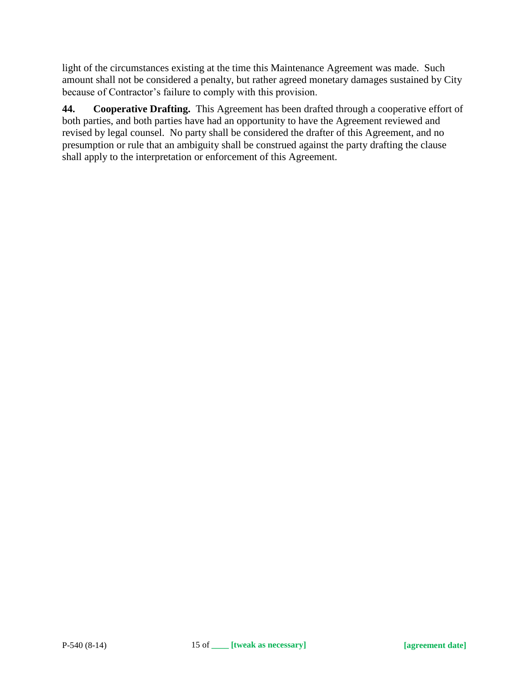light of the circumstances existing at the time this Maintenance Agreement was made. Such amount shall not be considered a penalty, but rather agreed monetary damages sustained by City because of Contractor's failure to comply with this provision.

**44. Cooperative Drafting.** This Agreement has been drafted through a cooperative effort of both parties, and both parties have had an opportunity to have the Agreement reviewed and revised by legal counsel. No party shall be considered the drafter of this Agreement, and no presumption or rule that an ambiguity shall be construed against the party drafting the clause shall apply to the interpretation or enforcement of this Agreement.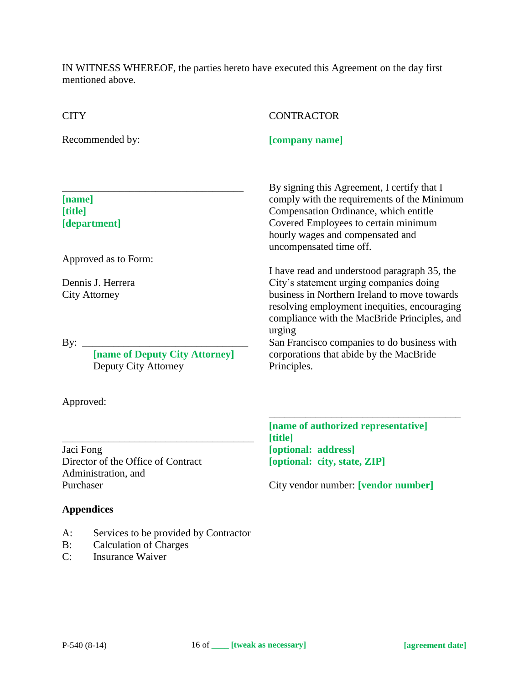IN WITNESS WHEREOF, the parties hereto have executed this Agreement on the day first mentioned above.

| <b>CITY</b>                                                   | <b>CONTRACTOR</b>                                                                                                                                                                                                                          |
|---------------------------------------------------------------|--------------------------------------------------------------------------------------------------------------------------------------------------------------------------------------------------------------------------------------------|
| Recommended by:                                               | [company name]                                                                                                                                                                                                                             |
| [name]<br>[title]<br>[department]                             | By signing this Agreement, I certify that I<br>comply with the requirements of the Minimum<br>Compensation Ordinance, which entitle<br>Covered Employees to certain minimum<br>hourly wages and compensated and<br>uncompensated time off. |
| Approved as to Form:                                          | I have read and understood paragraph 35, the                                                                                                                                                                                               |
| Dennis J. Herrera<br><b>City Attorney</b>                     | City's statement urging companies doing<br>business in Northern Ireland to move towards<br>resolving employment inequities, encouraging<br>compliance with the MacBride Principles, and<br>urging                                          |
| By:<br>[name of Deputy City Attorney]<br>Deputy City Attorney | San Francisco companies to do business with<br>corporations that abide by the MacBride<br>Principles.                                                                                                                                      |
| Approved:                                                     |                                                                                                                                                                                                                                            |
|                                                               | [name of authorized representative]<br>[title]                                                                                                                                                                                             |
| Jaci Fong<br>Director of the Office of Contract               | [optional: address]<br>[optional: city, state, ZIP]                                                                                                                                                                                        |
|                                                               |                                                                                                                                                                                                                                            |

City vendor number: **[vendor number]**

Administration, and Purchaser **Appendices**

- A: Services to be provided by Contractor
- B: Calculation of Charges<br>C: Insurance Waiver
- Insurance Waiver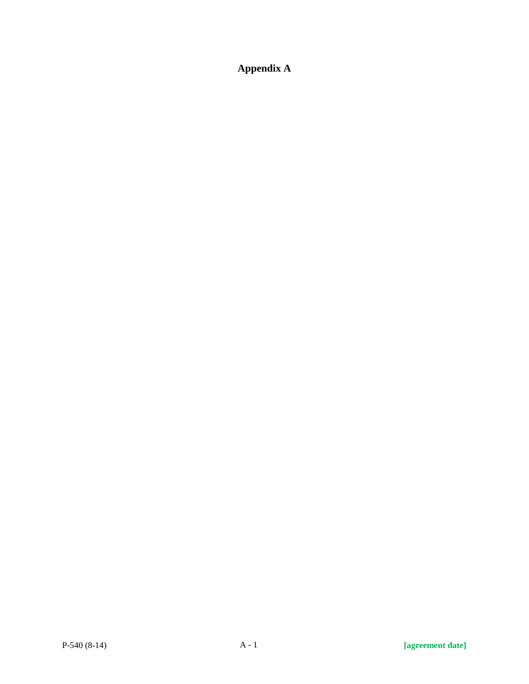**Appendix A**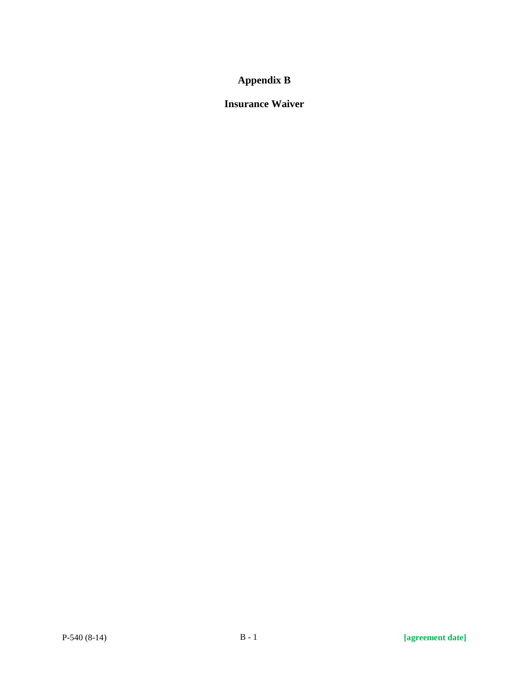# **Appendix B**

# **Insurance Waiver**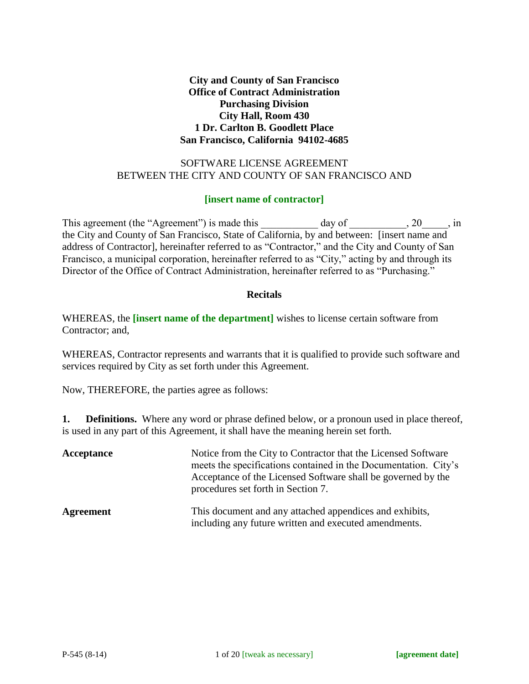**City and County of San Francisco Office of Contract Administration Purchasing Division City Hall, Room 430 1 Dr. Carlton B. Goodlett Place San Francisco, California 94102-4685**

#### SOFTWARE LICENSE AGREEMENT BETWEEN THE CITY AND COUNTY OF SAN FRANCISCO AND

#### **[insert name of contractor]**

This agreement (the "Agreement") is made this \_\_\_\_\_\_\_\_\_\_\_ day of \_\_\_\_\_\_\_\_\_, 20\_\_\_\_\_, in the City and County of San Francisco, State of California, by and between: [insert name and address of Contractor], hereinafter referred to as "Contractor," and the City and County of San Francisco, a municipal corporation, hereinafter referred to as "City," acting by and through its Director of the Office of Contract Administration, hereinafter referred to as "Purchasing."

#### **Recitals**

WHEREAS, the **[insert name of the department]** wishes to license certain software from Contractor; and,

WHEREAS, Contractor represents and warrants that it is qualified to provide such software and services required by City as set forth under this Agreement.

Now, THEREFORE, the parties agree as follows:

**1. Definitions.** Where any word or phrase defined below, or a pronoun used in place thereof, is used in any part of this Agreement, it shall have the meaning herein set forth.

| Acceptance       | Notice from the City to Contractor that the Licensed Software<br>meets the specifications contained in the Documentation. City's<br>Acceptance of the Licensed Software shall be governed by the<br>procedures set forth in Section 7. |  |
|------------------|----------------------------------------------------------------------------------------------------------------------------------------------------------------------------------------------------------------------------------------|--|
| <b>Agreement</b> | This document and any attached appendices and exhibits,<br>including any future written and executed amendments.                                                                                                                       |  |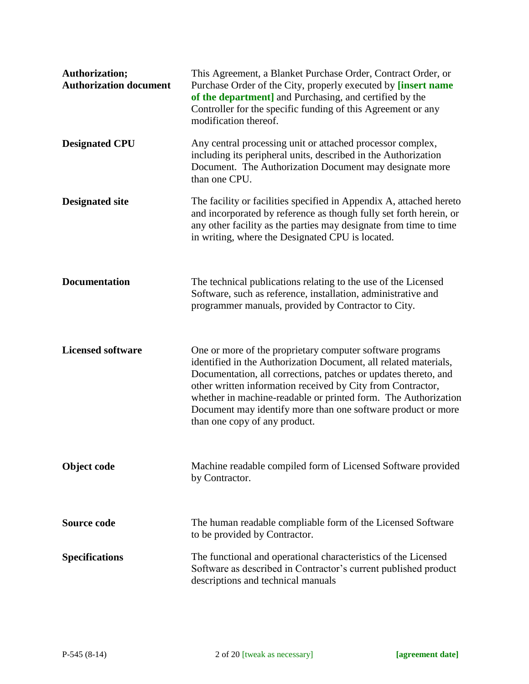| Authorization;<br><b>Authorization document</b> | This Agreement, a Blanket Purchase Order, Contract Order, or<br>Purchase Order of the City, properly executed by [insert name<br>of the department] and Purchasing, and certified by the<br>Controller for the specific funding of this Agreement or any<br>modification thereof.                                                                                                                                                  |
|-------------------------------------------------|------------------------------------------------------------------------------------------------------------------------------------------------------------------------------------------------------------------------------------------------------------------------------------------------------------------------------------------------------------------------------------------------------------------------------------|
| <b>Designated CPU</b>                           | Any central processing unit or attached processor complex,<br>including its peripheral units, described in the Authorization<br>Document. The Authorization Document may designate more<br>than one CPU.                                                                                                                                                                                                                           |
| <b>Designated site</b>                          | The facility or facilities specified in Appendix A, attached hereto<br>and incorporated by reference as though fully set forth herein, or<br>any other facility as the parties may designate from time to time<br>in writing, where the Designated CPU is located.                                                                                                                                                                 |
| <b>Documentation</b>                            | The technical publications relating to the use of the Licensed<br>Software, such as reference, installation, administrative and<br>programmer manuals, provided by Contractor to City.                                                                                                                                                                                                                                             |
| <b>Licensed software</b>                        | One or more of the proprietary computer software programs<br>identified in the Authorization Document, all related materials,<br>Documentation, all corrections, patches or updates thereto, and<br>other written information received by City from Contractor,<br>whether in machine-readable or printed form. The Authorization<br>Document may identify more than one software product or more<br>than one copy of any product. |
| Object code                                     | Machine readable compiled form of Licensed Software provided<br>by Contractor.                                                                                                                                                                                                                                                                                                                                                     |
| Source code                                     | The human readable compliable form of the Licensed Software<br>to be provided by Contractor.                                                                                                                                                                                                                                                                                                                                       |
| <b>Specifications</b>                           | The functional and operational characteristics of the Licensed<br>Software as described in Contractor's current published product<br>descriptions and technical manuals                                                                                                                                                                                                                                                            |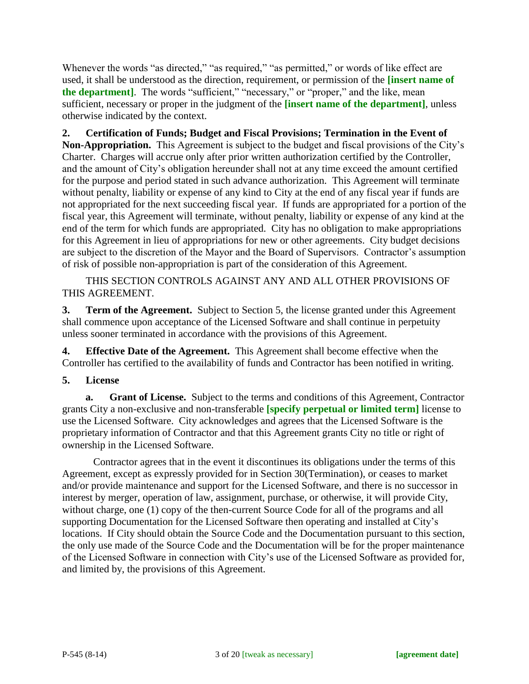Whenever the words "as directed," "as required," "as permitted," or words of like effect are used, it shall be understood as the direction, requirement, or permission of the **[insert name of the department**]. The words "sufficient," "necessary," or "proper," and the like, mean sufficient, necessary or proper in the judgment of the **[insert name of the department]**, unless otherwise indicated by the context.

**2. Certification of Funds; Budget and Fiscal Provisions; Termination in the Event of Non-Appropriation.** This Agreement is subject to the budget and fiscal provisions of the City's Charter. Charges will accrue only after prior written authorization certified by the Controller, and the amount of City's obligation hereunder shall not at any time exceed the amount certified for the purpose and period stated in such advance authorization. This Agreement will terminate without penalty, liability or expense of any kind to City at the end of any fiscal year if funds are not appropriated for the next succeeding fiscal year. If funds are appropriated for a portion of the fiscal year, this Agreement will terminate, without penalty, liability or expense of any kind at the end of the term for which funds are appropriated. City has no obligation to make appropriations for this Agreement in lieu of appropriations for new or other agreements. City budget decisions are subject to the discretion of the Mayor and the Board of Supervisors. Contractor's assumption of risk of possible non-appropriation is part of the consideration of this Agreement.

THIS SECTION CONTROLS AGAINST ANY AND ALL OTHER PROVISIONS OF THIS AGREEMENT.

**3. Term of the Agreement.** Subject to Section 5, the license granted under this Agreement shall commence upon acceptance of the Licensed Software and shall continue in perpetuity unless sooner terminated in accordance with the provisions of this Agreement.

**4. Effective Date of the Agreement.** This Agreement shall become effective when the Controller has certified to the availability of funds and Contractor has been notified in writing.

**5. License**

**a. Grant of License.** Subject to the terms and conditions of this Agreement, Contractor grants City a non-exclusive and non-transferable **[specify perpetual or limited term]** license to use the Licensed Software. City acknowledges and agrees that the Licensed Software is the proprietary information of Contractor and that this Agreement grants City no title or right of ownership in the Licensed Software.

Contractor agrees that in the event it discontinues its obligations under the terms of this Agreement, except as expressly provided for in Section 30(Termination), or ceases to market and/or provide maintenance and support for the Licensed Software, and there is no successor in interest by merger, operation of law, assignment, purchase, or otherwise, it will provide City, without charge, one (1) copy of the then-current Source Code for all of the programs and all supporting Documentation for the Licensed Software then operating and installed at City's locations. If City should obtain the Source Code and the Documentation pursuant to this section, the only use made of the Source Code and the Documentation will be for the proper maintenance of the Licensed Software in connection with City's use of the Licensed Software as provided for, and limited by, the provisions of this Agreement.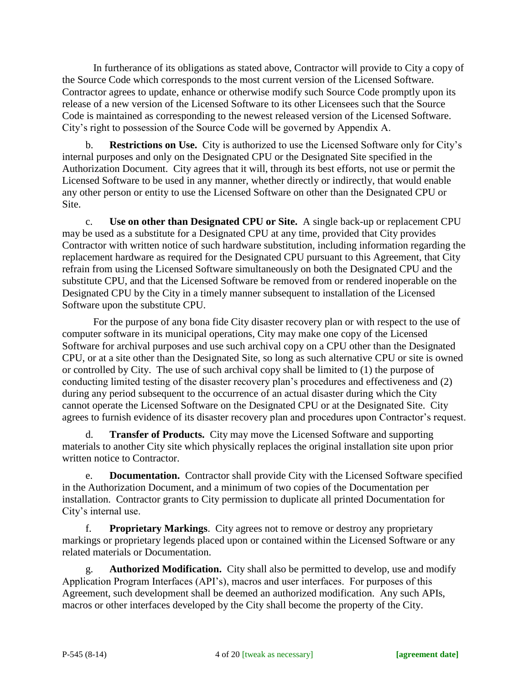In furtherance of its obligations as stated above, Contractor will provide to City a copy of the Source Code which corresponds to the most current version of the Licensed Software. Contractor agrees to update, enhance or otherwise modify such Source Code promptly upon its release of a new version of the Licensed Software to its other Licensees such that the Source Code is maintained as corresponding to the newest released version of the Licensed Software. City's right to possession of the Source Code will be governed by Appendix A.

b. **Restrictions on Use.** City is authorized to use the Licensed Software only for City's internal purposes and only on the Designated CPU or the Designated Site specified in the Authorization Document. City agrees that it will, through its best efforts, not use or permit the Licensed Software to be used in any manner, whether directly or indirectly, that would enable any other person or entity to use the Licensed Software on other than the Designated CPU or Site.

c. **Use on other than Designated CPU or Site.** A single back-up or replacement CPU may be used as a substitute for a Designated CPU at any time, provided that City provides Contractor with written notice of such hardware substitution, including information regarding the replacement hardware as required for the Designated CPU pursuant to this Agreement, that City refrain from using the Licensed Software simultaneously on both the Designated CPU and the substitute CPU, and that the Licensed Software be removed from or rendered inoperable on the Designated CPU by the City in a timely manner subsequent to installation of the Licensed Software upon the substitute CPU.

For the purpose of any bona fide City disaster recovery plan or with respect to the use of computer software in its municipal operations, City may make one copy of the Licensed Software for archival purposes and use such archival copy on a CPU other than the Designated CPU, or at a site other than the Designated Site, so long as such alternative CPU or site is owned or controlled by City. The use of such archival copy shall be limited to (1) the purpose of conducting limited testing of the disaster recovery plan's procedures and effectiveness and (2) during any period subsequent to the occurrence of an actual disaster during which the City cannot operate the Licensed Software on the Designated CPU or at the Designated Site. City agrees to furnish evidence of its disaster recovery plan and procedures upon Contractor's request.

d. **Transfer of Products.** City may move the Licensed Software and supporting materials to another City site which physically replaces the original installation site upon prior written notice to Contractor.

e. **Documentation.** Contractor shall provide City with the Licensed Software specified in the Authorization Document, and a minimum of two copies of the Documentation per installation. Contractor grants to City permission to duplicate all printed Documentation for City's internal use.

f. **Proprietary Markings**. City agrees not to remove or destroy any proprietary markings or proprietary legends placed upon or contained within the Licensed Software or any related materials or Documentation.

Authorized Modification. City shall also be permitted to develop, use and modify Application Program Interfaces (API's), macros and user interfaces. For purposes of this Agreement, such development shall be deemed an authorized modification. Any such APIs, macros or other interfaces developed by the City shall become the property of the City.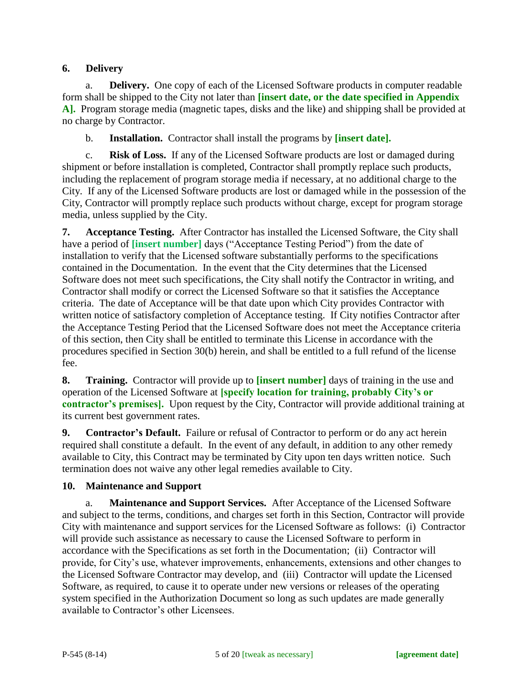## **6. Delivery**

a. **Delivery.** One copy of each of the Licensed Software products in computer readable form shall be shipped to the City not later than **[insert date, or the date specified in Appendix A].** Program storage media (magnetic tapes, disks and the like) and shipping shall be provided at no charge by Contractor.

b. **Installation.** Contractor shall install the programs by **[insert date].**

c. **Risk of Loss.** If any of the Licensed Software products are lost or damaged during shipment or before installation is completed, Contractor shall promptly replace such products, including the replacement of program storage media if necessary, at no additional charge to the City. If any of the Licensed Software products are lost or damaged while in the possession of the City, Contractor will promptly replace such products without charge, except for program storage media, unless supplied by the City.

**7. Acceptance Testing.** After Contractor has installed the Licensed Software, the City shall have a period of **[insert number]** days ("Acceptance Testing Period") from the date of installation to verify that the Licensed software substantially performs to the specifications contained in the Documentation. In the event that the City determines that the Licensed Software does not meet such specifications, the City shall notify the Contractor in writing, and Contractor shall modify or correct the Licensed Software so that it satisfies the Acceptance criteria. The date of Acceptance will be that date upon which City provides Contractor with written notice of satisfactory completion of Acceptance testing. If City notifies Contractor after the Acceptance Testing Period that the Licensed Software does not meet the Acceptance criteria of this section, then City shall be entitled to terminate this License in accordance with the procedures specified in Section 30(b) herein, and shall be entitled to a full refund of the license fee.

**8. Training.** Contractor will provide up to **[insert number]** days of training in the use and operation of the Licensed Software at **[specify location for training, probably City's or contractor's premises].** Upon request by the City, Contractor will provide additional training at its current best government rates.

**9. Contractor's Default.** Failure or refusal of Contractor to perform or do any act herein required shall constitute a default. In the event of any default, in addition to any other remedy available to City, this Contract may be terminated by City upon ten days written notice. Such termination does not waive any other legal remedies available to City.

#### **10. Maintenance and Support**

a. **Maintenance and Support Services.** After Acceptance of the Licensed Software and subject to the terms, conditions, and charges set forth in this Section, Contractor will provide City with maintenance and support services for the Licensed Software as follows: (i) Contractor will provide such assistance as necessary to cause the Licensed Software to perform in accordance with the Specifications as set forth in the Documentation; (ii) Contractor will provide, for City's use, whatever improvements, enhancements, extensions and other changes to the Licensed Software Contractor may develop, and (iii) Contractor will update the Licensed Software, as required, to cause it to operate under new versions or releases of the operating system specified in the Authorization Document so long as such updates are made generally available to Contractor's other Licensees.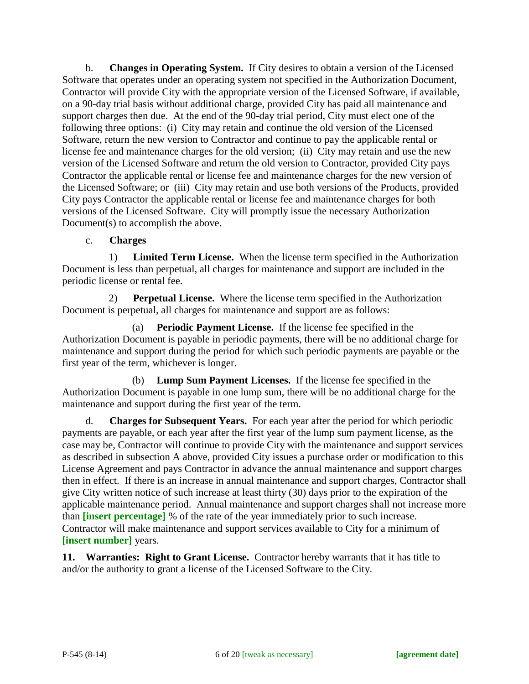b. **Changes in Operating System.** If City desires to obtain a version of the Licensed Software that operates under an operating system not specified in the Authorization Document, Contractor will provide City with the appropriate version of the Licensed Software, if available, on a 90-day trial basis without additional charge, provided City has paid all maintenance and support charges then due. At the end of the 90-day trial period, City must elect one of the following three options: (i) City may retain and continue the old version of the Licensed Software, return the new version to Contractor and continue to pay the applicable rental or license fee and maintenance charges for the old version; (ii) City may retain and use the new version of the Licensed Software and return the old version to Contractor, provided City pays Contractor the applicable rental or license fee and maintenance charges for the new version of the Licensed Software; or (iii) City may retain and use both versions of the Products, provided City pays Contractor the applicable rental or license fee and maintenance charges for both versions of the Licensed Software. City will promptly issue the necessary Authorization Document(s) to accomplish the above.

## c. **Charges**

1) **Limited Term License.** When the license term specified in the Authorization Document is less than perpetual, all charges for maintenance and support are included in the periodic license or rental fee.

2) **Perpetual License.** Where the license term specified in the Authorization Document is perpetual, all charges for maintenance and support are as follows:

(a) **Periodic Payment License.** If the license fee specified in the Authorization Document is payable in periodic payments, there will be no additional charge for maintenance and support during the period for which such periodic payments are payable or the first year of the term, whichever is longer.

(b) **Lump Sum Payment Licenses.** If the license fee specified in the Authorization Document is payable in one lump sum, there will be no additional charge for the maintenance and support during the first year of the term.

d. **Charges for Subsequent Years.** For each year after the period for which periodic payments are payable, or each year after the first year of the lump sum payment license, as the case may be, Contractor will continue to provide City with the maintenance and support services as described in subsection A above, provided City issues a purchase order or modification to this License Agreement and pays Contractor in advance the annual maintenance and support charges then in effect. If there is an increase in annual maintenance and support charges, Contractor shall give City written notice of such increase at least thirty (30) days prior to the expiration of the applicable maintenance period. Annual maintenance and support charges shall not increase more than **[insert percentage]** % of the rate of the year immediately prior to such increase. Contractor will make maintenance and support services available to City for a minimum of **[insert number]** years.

**11. Warranties: Right to Grant License.** Contractor hereby warrants that it has title to and/or the authority to grant a license of the Licensed Software to the City.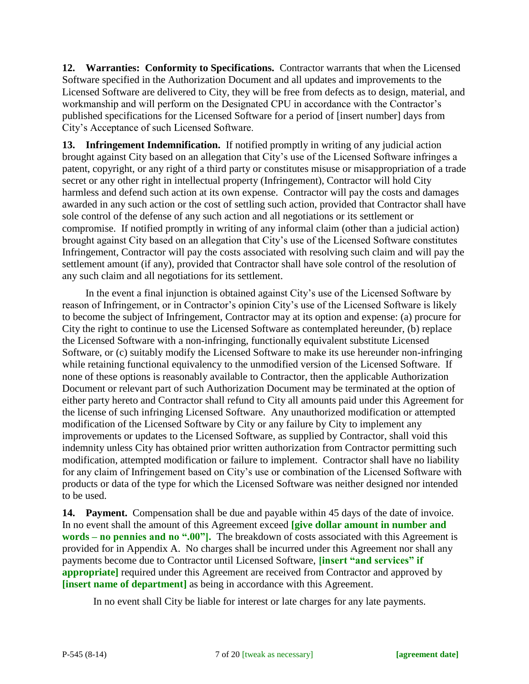**12. Warranties: Conformity to Specifications.** Contractor warrants that when the Licensed Software specified in the Authorization Document and all updates and improvements to the Licensed Software are delivered to City, they will be free from defects as to design, material, and workmanship and will perform on the Designated CPU in accordance with the Contractor's published specifications for the Licensed Software for a period of [insert number] days from City's Acceptance of such Licensed Software.

**13. Infringement Indemnification.** If notified promptly in writing of any judicial action brought against City based on an allegation that City's use of the Licensed Software infringes a patent, copyright, or any right of a third party or constitutes misuse or misappropriation of a trade secret or any other right in intellectual property (Infringement), Contractor will hold City harmless and defend such action at its own expense. Contractor will pay the costs and damages awarded in any such action or the cost of settling such action, provided that Contractor shall have sole control of the defense of any such action and all negotiations or its settlement or compromise. If notified promptly in writing of any informal claim (other than a judicial action) brought against City based on an allegation that City's use of the Licensed Software constitutes Infringement, Contractor will pay the costs associated with resolving such claim and will pay the settlement amount (if any), provided that Contractor shall have sole control of the resolution of any such claim and all negotiations for its settlement.

In the event a final injunction is obtained against City's use of the Licensed Software by reason of Infringement, or in Contractor's opinion City's use of the Licensed Software is likely to become the subject of Infringement, Contractor may at its option and expense: (a) procure for City the right to continue to use the Licensed Software as contemplated hereunder, (b) replace the Licensed Software with a non-infringing, functionally equivalent substitute Licensed Software, or (c) suitably modify the Licensed Software to make its use hereunder non-infringing while retaining functional equivalency to the unmodified version of the Licensed Software. If none of these options is reasonably available to Contractor, then the applicable Authorization Document or relevant part of such Authorization Document may be terminated at the option of either party hereto and Contractor shall refund to City all amounts paid under this Agreement for the license of such infringing Licensed Software. Any unauthorized modification or attempted modification of the Licensed Software by City or any failure by City to implement any improvements or updates to the Licensed Software, as supplied by Contractor, shall void this indemnity unless City has obtained prior written authorization from Contractor permitting such modification, attempted modification or failure to implement. Contractor shall have no liability for any claim of Infringement based on City's use or combination of the Licensed Software with products or data of the type for which the Licensed Software was neither designed nor intended to be used.

**14. Payment.** Compensation shall be due and payable within 45 days of the date of invoice. In no event shall the amount of this Agreement exceed **[give dollar amount in number and words – no pennies and no ".00"].** The breakdown of costs associated with this Agreement is provided for in Appendix A. No charges shall be incurred under this Agreement nor shall any payments become due to Contractor until Licensed Software, **[insert "and services" if appropriate** required under this Agreement are received from Contractor and approved by **[insert name of department]** as being in accordance with this Agreement.

In no event shall City be liable for interest or late charges for any late payments.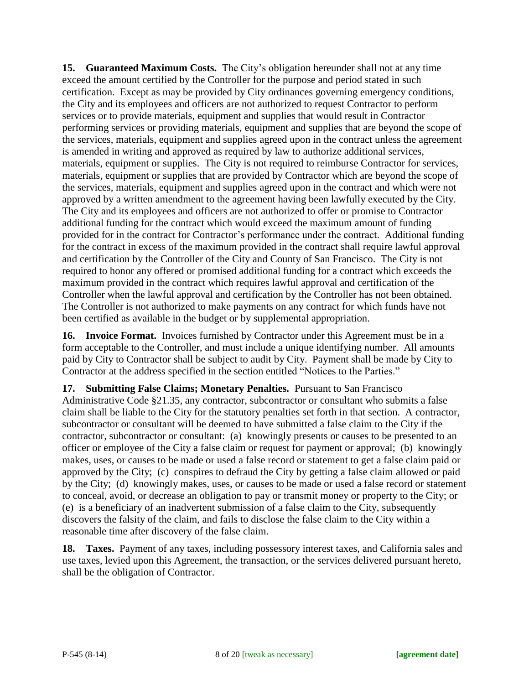**15. Guaranteed Maximum Costs.** The City's obligation hereunder shall not at any time exceed the amount certified by the Controller for the purpose and period stated in such certification. Except as may be provided by City ordinances governing emergency conditions, the City and its employees and officers are not authorized to request Contractor to perform services or to provide materials, equipment and supplies that would result in Contractor performing services or providing materials, equipment and supplies that are beyond the scope of the services, materials, equipment and supplies agreed upon in the contract unless the agreement is amended in writing and approved as required by law to authorize additional services, materials, equipment or supplies. The City is not required to reimburse Contractor for services, materials, equipment or supplies that are provided by Contractor which are beyond the scope of the services, materials, equipment and supplies agreed upon in the contract and which were not approved by a written amendment to the agreement having been lawfully executed by the City. The City and its employees and officers are not authorized to offer or promise to Contractor additional funding for the contract which would exceed the maximum amount of funding provided for in the contract for Contractor's performance under the contract. Additional funding for the contract in excess of the maximum provided in the contract shall require lawful approval and certification by the Controller of the City and County of San Francisco. The City is not required to honor any offered or promised additional funding for a contract which exceeds the maximum provided in the contract which requires lawful approval and certification of the Controller when the lawful approval and certification by the Controller has not been obtained. The Controller is not authorized to make payments on any contract for which funds have not been certified as available in the budget or by supplemental appropriation.

**16. Invoice Format.** Invoices furnished by Contractor under this Agreement must be in a form acceptable to the Controller, and must include a unique identifying number. All amounts paid by City to Contractor shall be subject to audit by City. Payment shall be made by City to Contractor at the address specified in the section entitled "Notices to the Parties."

**17. Submitting False Claims; Monetary Penalties.** Pursuant to San Francisco Administrative Code §21.35, any contractor, subcontractor or consultant who submits a false claim shall be liable to the City for the statutory penalties set forth in that section. A contractor, subcontractor or consultant will be deemed to have submitted a false claim to the City if the contractor, subcontractor or consultant: (a) knowingly presents or causes to be presented to an officer or employee of the City a false claim or request for payment or approval; (b) knowingly makes, uses, or causes to be made or used a false record or statement to get a false claim paid or approved by the City; (c) conspires to defraud the City by getting a false claim allowed or paid by the City; (d) knowingly makes, uses, or causes to be made or used a false record or statement to conceal, avoid, or decrease an obligation to pay or transmit money or property to the City; or (e) is a beneficiary of an inadvertent submission of a false claim to the City, subsequently discovers the falsity of the claim, and fails to disclose the false claim to the City within a reasonable time after discovery of the false claim.

**18. Taxes.** Payment of any taxes, including possessory interest taxes, and California sales and use taxes, levied upon this Agreement, the transaction, or the services delivered pursuant hereto, shall be the obligation of Contractor.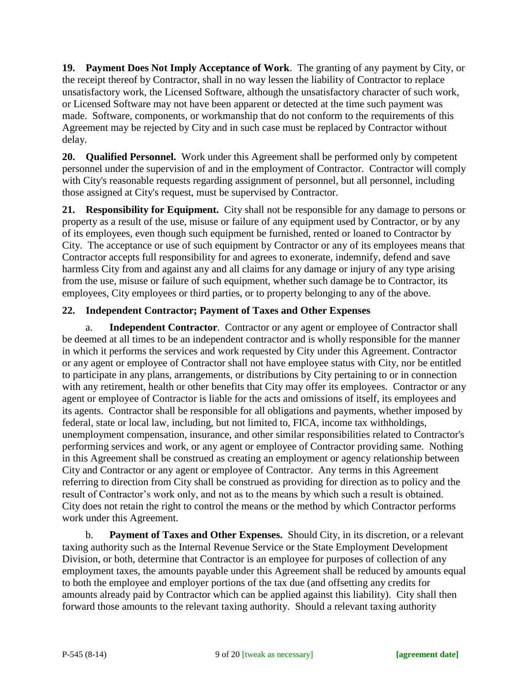**19. Payment Does Not Imply Acceptance of Work**. The granting of any payment by City, or the receipt thereof by Contractor, shall in no way lessen the liability of Contractor to replace unsatisfactory work, the Licensed Software, although the unsatisfactory character of such work, or Licensed Software may not have been apparent or detected at the time such payment was made. Software, components, or workmanship that do not conform to the requirements of this Agreement may be rejected by City and in such case must be replaced by Contractor without delay.

**20. Qualified Personnel.** Work under this Agreement shall be performed only by competent personnel under the supervision of and in the employment of Contractor. Contractor will comply with City's reasonable requests regarding assignment of personnel, but all personnel, including those assigned at City's request, must be supervised by Contractor.

**21. Responsibility for Equipment.** City shall not be responsible for any damage to persons or property as a result of the use, misuse or failure of any equipment used by Contractor, or by any of its employees, even though such equipment be furnished, rented or loaned to Contractor by City. The acceptance or use of such equipment by Contractor or any of its employees means that Contractor accepts full responsibility for and agrees to exonerate, indemnify, defend and save harmless City from and against any and all claims for any damage or injury of any type arising from the use, misuse or failure of such equipment, whether such damage be to Contractor, its employees, City employees or third parties, or to property belonging to any of the above.

## **22. Independent Contractor; Payment of Taxes and Other Expenses**

a. **Independent Contractor**. Contractor or any agent or employee of Contractor shall be deemed at all times to be an independent contractor and is wholly responsible for the manner in which it performs the services and work requested by City under this Agreement. Contractor or any agent or employee of Contractor shall not have employee status with City, nor be entitled to participate in any plans, arrangements, or distributions by City pertaining to or in connection with any retirement, health or other benefits that City may offer its employees. Contractor or any agent or employee of Contractor is liable for the acts and omissions of itself, its employees and its agents. Contractor shall be responsible for all obligations and payments, whether imposed by federal, state or local law, including, but not limited to, FICA, income tax withholdings, unemployment compensation, insurance, and other similar responsibilities related to Contractor's performing services and work, or any agent or employee of Contractor providing same. Nothing in this Agreement shall be construed as creating an employment or agency relationship between City and Contractor or any agent or employee of Contractor. Any terms in this Agreement referring to direction from City shall be construed as providing for direction as to policy and the result of Contractor's work only, and not as to the means by which such a result is obtained. City does not retain the right to control the means or the method by which Contractor performs work under this Agreement.

b. **Payment of Taxes and Other Expenses.** Should City, in its discretion, or a relevant taxing authority such as the Internal Revenue Service or the State Employment Development Division, or both, determine that Contractor is an employee for purposes of collection of any employment taxes, the amounts payable under this Agreement shall be reduced by amounts equal to both the employee and employer portions of the tax due (and offsetting any credits for amounts already paid by Contractor which can be applied against this liability). City shall then forward those amounts to the relevant taxing authority. Should a relevant taxing authority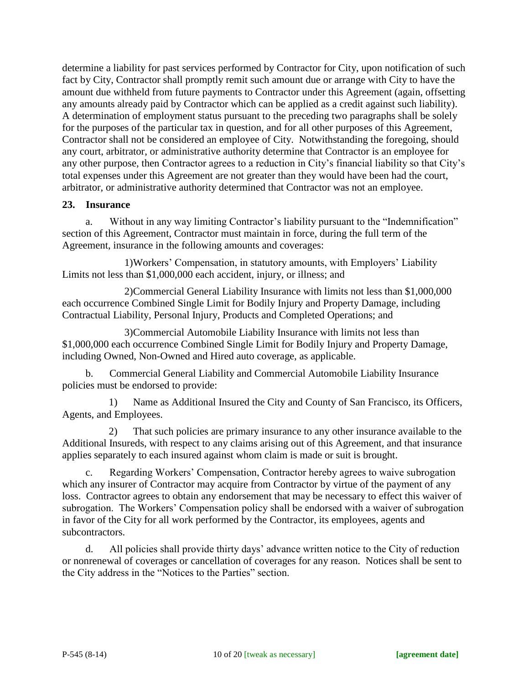determine a liability for past services performed by Contractor for City, upon notification of such fact by City, Contractor shall promptly remit such amount due or arrange with City to have the amount due withheld from future payments to Contractor under this Agreement (again, offsetting any amounts already paid by Contractor which can be applied as a credit against such liability). A determination of employment status pursuant to the preceding two paragraphs shall be solely for the purposes of the particular tax in question, and for all other purposes of this Agreement, Contractor shall not be considered an employee of City. Notwithstanding the foregoing, should any court, arbitrator, or administrative authority determine that Contractor is an employee for any other purpose, then Contractor agrees to a reduction in City's financial liability so that City's total expenses under this Agreement are not greater than they would have been had the court, arbitrator, or administrative authority determined that Contractor was not an employee.

#### **23. Insurance**

a. Without in any way limiting Contractor's liability pursuant to the "Indemnification" section of this Agreement, Contractor must maintain in force, during the full term of the Agreement, insurance in the following amounts and coverages:

1)Workers' Compensation, in statutory amounts, with Employers' Liability Limits not less than \$1,000,000 each accident, injury, or illness; and

2)Commercial General Liability Insurance with limits not less than \$1,000,000 each occurrence Combined Single Limit for Bodily Injury and Property Damage, including Contractual Liability, Personal Injury, Products and Completed Operations; and

3)Commercial Automobile Liability Insurance with limits not less than \$1,000,000 each occurrence Combined Single Limit for Bodily Injury and Property Damage, including Owned, Non-Owned and Hired auto coverage, as applicable.

b. Commercial General Liability and Commercial Automobile Liability Insurance policies must be endorsed to provide:

1) Name as Additional Insured the City and County of San Francisco, its Officers, Agents, and Employees.

2) That such policies are primary insurance to any other insurance available to the Additional Insureds, with respect to any claims arising out of this Agreement, and that insurance applies separately to each insured against whom claim is made or suit is brought.

c. Regarding Workers' Compensation, Contractor hereby agrees to waive subrogation which any insurer of Contractor may acquire from Contractor by virtue of the payment of any loss. Contractor agrees to obtain any endorsement that may be necessary to effect this waiver of subrogation. The Workers' Compensation policy shall be endorsed with a waiver of subrogation in favor of the City for all work performed by the Contractor, its employees, agents and subcontractors.

d. All policies shall provide thirty days' advance written notice to the City of reduction or nonrenewal of coverages or cancellation of coverages for any reason. Notices shall be sent to the City address in the "Notices to the Parties" section.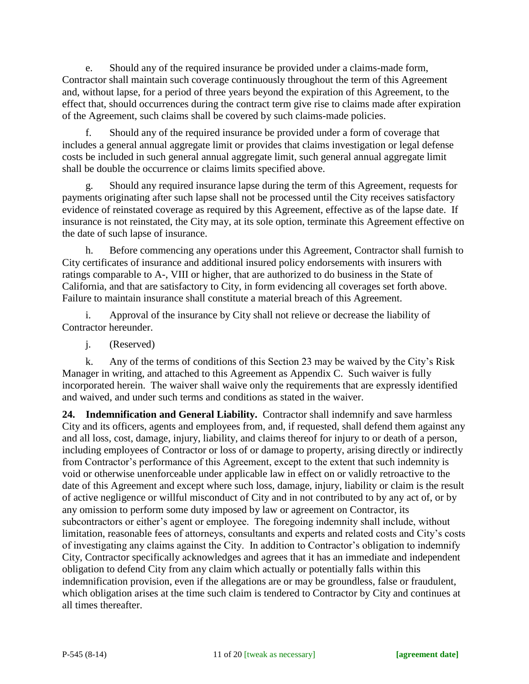e. Should any of the required insurance be provided under a claims-made form, Contractor shall maintain such coverage continuously throughout the term of this Agreement and, without lapse, for a period of three years beyond the expiration of this Agreement, to the effect that, should occurrences during the contract term give rise to claims made after expiration of the Agreement, such claims shall be covered by such claims-made policies.

f. Should any of the required insurance be provided under a form of coverage that includes a general annual aggregate limit or provides that claims investigation or legal defense costs be included in such general annual aggregate limit, such general annual aggregate limit shall be double the occurrence or claims limits specified above.

g. Should any required insurance lapse during the term of this Agreement, requests for payments originating after such lapse shall not be processed until the City receives satisfactory evidence of reinstated coverage as required by this Agreement, effective as of the lapse date. If insurance is not reinstated, the City may, at its sole option, terminate this Agreement effective on the date of such lapse of insurance.

h. Before commencing any operations under this Agreement, Contractor shall furnish to City certificates of insurance and additional insured policy endorsements with insurers with ratings comparable to A-, VIII or higher, that are authorized to do business in the State of California, and that are satisfactory to City, in form evidencing all coverages set forth above. Failure to maintain insurance shall constitute a material breach of this Agreement.

i. Approval of the insurance by City shall not relieve or decrease the liability of Contractor hereunder.

j. (Reserved)

k. Any of the terms of conditions of this Section 23 may be waived by the City's Risk Manager in writing, and attached to this Agreement as Appendix C. Such waiver is fully incorporated herein. The waiver shall waive only the requirements that are expressly identified and waived, and under such terms and conditions as stated in the waiver.

**24. Indemnification and General Liability.** Contractor shall indemnify and save harmless City and its officers, agents and employees from, and, if requested, shall defend them against any and all loss, cost, damage, injury, liability, and claims thereof for injury to or death of a person, including employees of Contractor or loss of or damage to property, arising directly or indirectly from Contractor's performance of this Agreement, except to the extent that such indemnity is void or otherwise unenforceable under applicable law in effect on or validly retroactive to the date of this Agreement and except where such loss, damage, injury, liability or claim is the result of active negligence or willful misconduct of City and in not contributed to by any act of, or by any omission to perform some duty imposed by law or agreement on Contractor, its subcontractors or either's agent or employee. The foregoing indemnity shall include, without limitation, reasonable fees of attorneys, consultants and experts and related costs and City's costs of investigating any claims against the City. In addition to Contractor's obligation to indemnify City, Contractor specifically acknowledges and agrees that it has an immediate and independent obligation to defend City from any claim which actually or potentially falls within this indemnification provision, even if the allegations are or may be groundless, false or fraudulent, which obligation arises at the time such claim is tendered to Contractor by City and continues at all times thereafter.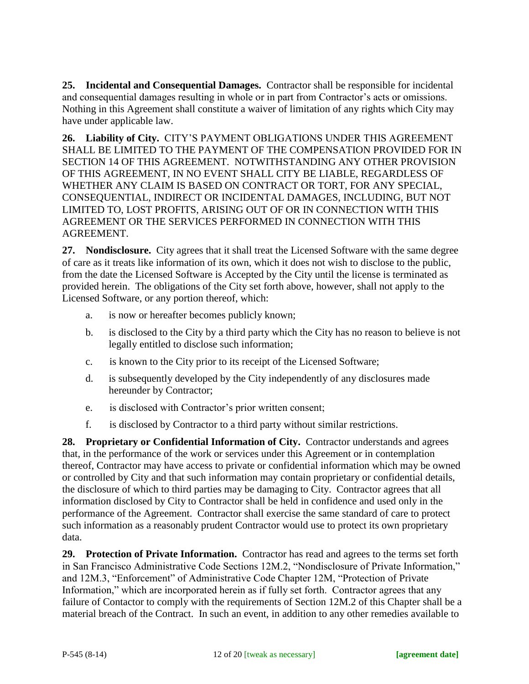**25. Incidental and Consequential Damages.** Contractor shall be responsible for incidental and consequential damages resulting in whole or in part from Contractor's acts or omissions. Nothing in this Agreement shall constitute a waiver of limitation of any rights which City may have under applicable law.

**26. Liability of City.** CITY'S PAYMENT OBLIGATIONS UNDER THIS AGREEMENT SHALL BE LIMITED TO THE PAYMENT OF THE COMPENSATION PROVIDED FOR IN SECTION 14 OF THIS AGREEMENT. NOTWITHSTANDING ANY OTHER PROVISION OF THIS AGREEMENT, IN NO EVENT SHALL CITY BE LIABLE, REGARDLESS OF WHETHER ANY CLAIM IS BASED ON CONTRACT OR TORT, FOR ANY SPECIAL, CONSEQUENTIAL, INDIRECT OR INCIDENTAL DAMAGES, INCLUDING, BUT NOT LIMITED TO, LOST PROFITS, ARISING OUT OF OR IN CONNECTION WITH THIS AGREEMENT OR THE SERVICES PERFORMED IN CONNECTION WITH THIS AGREEMENT.

**27. Nondisclosure.** City agrees that it shall treat the Licensed Software with the same degree of care as it treats like information of its own, which it does not wish to disclose to the public, from the date the Licensed Software is Accepted by the City until the license is terminated as provided herein. The obligations of the City set forth above, however, shall not apply to the Licensed Software, or any portion thereof, which:

- a. is now or hereafter becomes publicly known;
- b. is disclosed to the City by a third party which the City has no reason to believe is not legally entitled to disclose such information;
- c. is known to the City prior to its receipt of the Licensed Software;
- d. is subsequently developed by the City independently of any disclosures made hereunder by Contractor;
- e. is disclosed with Contractor's prior written consent;
- f. is disclosed by Contractor to a third party without similar restrictions.

**28. Proprietary or Confidential Information of City.** Contractor understands and agrees that, in the performance of the work or services under this Agreement or in contemplation thereof, Contractor may have access to private or confidential information which may be owned or controlled by City and that such information may contain proprietary or confidential details, the disclosure of which to third parties may be damaging to City. Contractor agrees that all information disclosed by City to Contractor shall be held in confidence and used only in the performance of the Agreement. Contractor shall exercise the same standard of care to protect such information as a reasonably prudent Contractor would use to protect its own proprietary data.

**29. Protection of Private Information.** Contractor has read and agrees to the terms set forth in San Francisco Administrative Code Sections 12M.2, "Nondisclosure of Private Information," and 12M.3, "Enforcement" of Administrative Code Chapter 12M, "Protection of Private Information," which are incorporated herein as if fully set forth. Contractor agrees that any failure of Contactor to comply with the requirements of Section 12M.2 of this Chapter shall be a material breach of the Contract. In such an event, in addition to any other remedies available to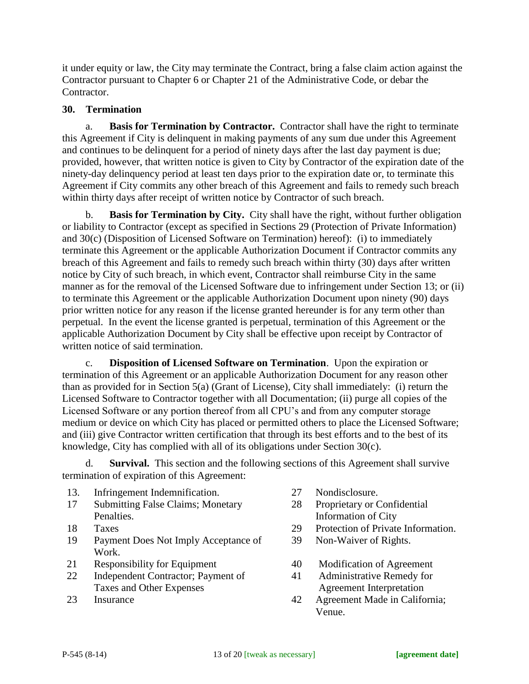it under equity or law, the City may terminate the Contract, bring a false claim action against the Contractor pursuant to Chapter 6 or Chapter 21 of the Administrative Code, or debar the Contractor.

#### **30. Termination**

a. **Basis for Termination by Contractor.** Contractor shall have the right to terminate this Agreement if City is delinquent in making payments of any sum due under this Agreement and continues to be delinquent for a period of ninety days after the last day payment is due; provided, however, that written notice is given to City by Contractor of the expiration date of the ninety-day delinquency period at least ten days prior to the expiration date or, to terminate this Agreement if City commits any other breach of this Agreement and fails to remedy such breach within thirty days after receipt of written notice by Contractor of such breach.

**Basis for Termination by City.** City shall have the right, without further obligation or liability to Contractor (except as specified in Sections 29 (Protection of Private Information) and 30(c) (Disposition of Licensed Software on Termination) hereof): (i) to immediately terminate this Agreement or the applicable Authorization Document if Contractor commits any breach of this Agreement and fails to remedy such breach within thirty (30) days after written notice by City of such breach, in which event, Contractor shall reimburse City in the same manner as for the removal of the Licensed Software due to infringement under Section 13; or (ii) to terminate this Agreement or the applicable Authorization Document upon ninety (90) days prior written notice for any reason if the license granted hereunder is for any term other than perpetual. In the event the license granted is perpetual, termination of this Agreement or the applicable Authorization Document by City shall be effective upon receipt by Contractor of written notice of said termination.

c. **Disposition of Licensed Software on Termination**. Upon the expiration or termination of this Agreement or an applicable Authorization Document for any reason other than as provided for in Section 5(a) (Grant of License), City shall immediately: (i) return the Licensed Software to Contractor together with all Documentation; (ii) purge all copies of the Licensed Software or any portion thereof from all CPU's and from any computer storage medium or device on which City has placed or permitted others to place the Licensed Software; and (iii) give Contractor written certification that through its best efforts and to the best of its knowledge, City has complied with all of its obligations under Section 30(c).

d. **Survival.** This section and the following sections of this Agreement shall survive termination of expiration of this Agreement:

- 13. Infringement Indemnification. 27 Nondisclosure.
- 17 Submitting False Claims; Monetary Penalties.
- 
- 19 Payment Does Not Imply Acceptance of Work.
- 21 Responsibility for Equipment 40 Modification of Agreement
- 22 Independent Contractor; Payment of Taxes and Other Expenses
- 
- 
- 28 Proprietary or Confidential Information of City
- 18 Taxes 29 Protection of Private Information.
	- 39 Non-Waiver of Rights.
	-
	- 41 Administrative Remedy for Agreement Interpretation
- 23 Insurance 42 Agreement Made in California; Venue.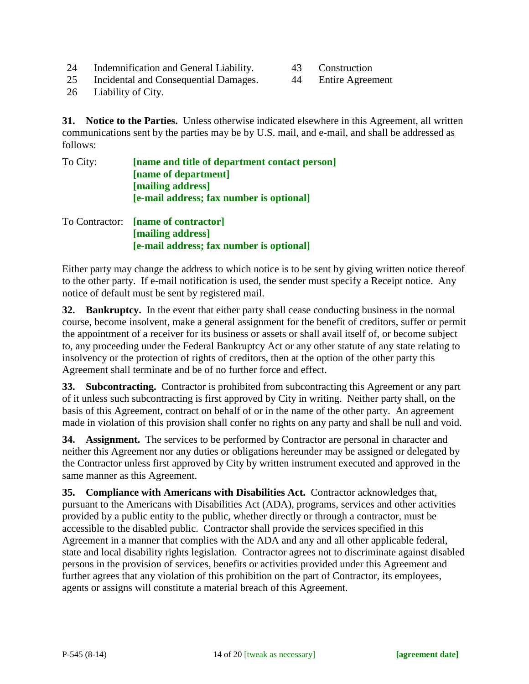- 24 Indemnification and General Liability. 43 Construction
- 
- 25 Incidental and Consequential Damages. 44 Entire Agreement
- 

26 Liability of City.

**31. Notice to the Parties.** Unless otherwise indicated elsewhere in this Agreement, all written communications sent by the parties may be by U.S. mail, and e-mail, and shall be addressed as follows:

| To City: | [name and title of department contact person] |
|----------|-----------------------------------------------|
|          | [name of department]                          |
|          | [mailing address]                             |
|          | [e-mail address; fax number is optional]      |
|          | To Contractor: [name of contractor]           |
|          | [mailing address]                             |

**[e-mail address; fax number is optional]**

Either party may change the address to which notice is to be sent by giving written notice thereof to the other party. If e-mail notification is used, the sender must specify a Receipt notice. Any notice of default must be sent by registered mail.

**32. Bankruptcy.** In the event that either party shall cease conducting business in the normal course, become insolvent, make a general assignment for the benefit of creditors, suffer or permit the appointment of a receiver for its business or assets or shall avail itself of, or become subject to, any proceeding under the Federal Bankruptcy Act or any other statute of any state relating to insolvency or the protection of rights of creditors, then at the option of the other party this Agreement shall terminate and be of no further force and effect.

**33. Subcontracting.** Contractor is prohibited from subcontracting this Agreement or any part of it unless such subcontracting is first approved by City in writing. Neither party shall, on the basis of this Agreement, contract on behalf of or in the name of the other party. An agreement made in violation of this provision shall confer no rights on any party and shall be null and void.

**34. Assignment.** The services to be performed by Contractor are personal in character and neither this Agreement nor any duties or obligations hereunder may be assigned or delegated by the Contractor unless first approved by City by written instrument executed and approved in the same manner as this Agreement.

**35. Compliance with Americans with Disabilities Act.** Contractor acknowledges that, pursuant to the Americans with Disabilities Act (ADA), programs, services and other activities provided by a public entity to the public, whether directly or through a contractor, must be accessible to the disabled public. Contractor shall provide the services specified in this Agreement in a manner that complies with the ADA and any and all other applicable federal, state and local disability rights legislation. Contractor agrees not to discriminate against disabled persons in the provision of services, benefits or activities provided under this Agreement and further agrees that any violation of this prohibition on the part of Contractor, its employees, agents or assigns will constitute a material breach of this Agreement.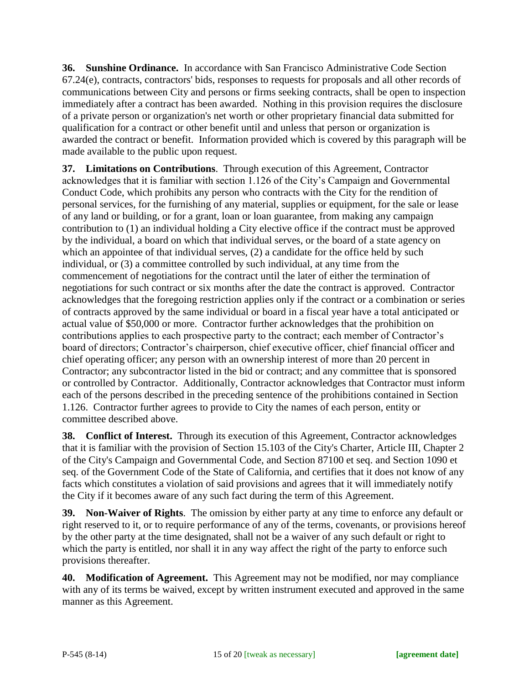**36. Sunshine Ordinance.** In accordance with San Francisco Administrative Code Section 67.24(e), contracts, contractors' bids, responses to requests for proposals and all other records of communications between City and persons or firms seeking contracts, shall be open to inspection immediately after a contract has been awarded. Nothing in this provision requires the disclosure of a private person or organization's net worth or other proprietary financial data submitted for qualification for a contract or other benefit until and unless that person or organization is awarded the contract or benefit. Information provided which is covered by this paragraph will be made available to the public upon request.

**37. Limitations on Contributions**. Through execution of this Agreement, Contractor acknowledges that it is familiar with section 1.126 of the City's Campaign and Governmental Conduct Code, which prohibits any person who contracts with the City for the rendition of personal services, for the furnishing of any material, supplies or equipment, for the sale or lease of any land or building, or for a grant, loan or loan guarantee, from making any campaign contribution to (1) an individual holding a City elective office if the contract must be approved by the individual, a board on which that individual serves, or the board of a state agency on which an appointee of that individual serves, (2) a candidate for the office held by such individual, or (3) a committee controlled by such individual, at any time from the commencement of negotiations for the contract until the later of either the termination of negotiations for such contract or six months after the date the contract is approved. Contractor acknowledges that the foregoing restriction applies only if the contract or a combination or series of contracts approved by the same individual or board in a fiscal year have a total anticipated or actual value of \$50,000 or more. Contractor further acknowledges that the prohibition on contributions applies to each prospective party to the contract; each member of Contractor's board of directors; Contractor's chairperson, chief executive officer, chief financial officer and chief operating officer; any person with an ownership interest of more than 20 percent in Contractor; any subcontractor listed in the bid or contract; and any committee that is sponsored or controlled by Contractor. Additionally, Contractor acknowledges that Contractor must inform each of the persons described in the preceding sentence of the prohibitions contained in Section 1.126. Contractor further agrees to provide to City the names of each person, entity or committee described above.

**38. Conflict of Interest.** Through its execution of this Agreement, Contractor acknowledges that it is familiar with the provision of Section 15.103 of the City's Charter, Article III, Chapter 2 of the City's Campaign and Governmental Code, and Section 87100 et seq. and Section 1090 et seq. of the Government Code of the State of California, and certifies that it does not know of any facts which constitutes a violation of said provisions and agrees that it will immediately notify the City if it becomes aware of any such fact during the term of this Agreement.

**39. Non-Waiver of Rights**. The omission by either party at any time to enforce any default or right reserved to it, or to require performance of any of the terms, covenants, or provisions hereof by the other party at the time designated, shall not be a waiver of any such default or right to which the party is entitled, nor shall it in any way affect the right of the party to enforce such provisions thereafter.

**40. Modification of Agreement.** This Agreement may not be modified, nor may compliance with any of its terms be waived, except by written instrument executed and approved in the same manner as this Agreement.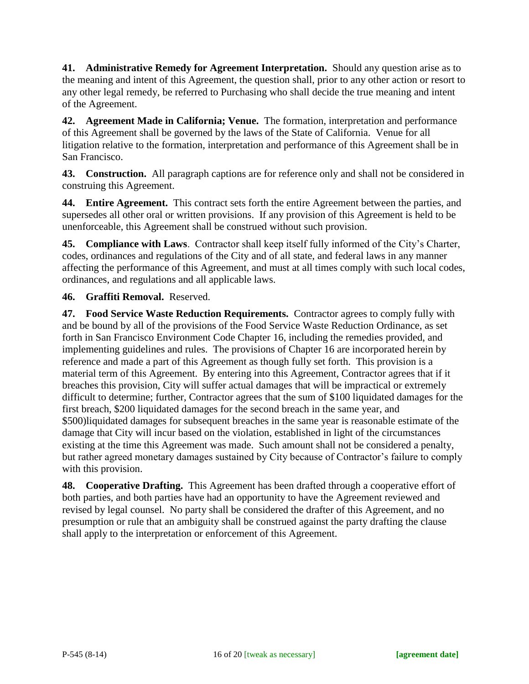**41. Administrative Remedy for Agreement Interpretation.** Should any question arise as to the meaning and intent of this Agreement, the question shall, prior to any other action or resort to any other legal remedy, be referred to Purchasing who shall decide the true meaning and intent of the Agreement.

**42. Agreement Made in California; Venue.** The formation, interpretation and performance of this Agreement shall be governed by the laws of the State of California. Venue for all litigation relative to the formation, interpretation and performance of this Agreement shall be in San Francisco.

**43. Construction.** All paragraph captions are for reference only and shall not be considered in construing this Agreement.

**44. Entire Agreement.** This contract sets forth the entire Agreement between the parties, and supersedes all other oral or written provisions. If any provision of this Agreement is held to be unenforceable, this Agreement shall be construed without such provision.

**45. Compliance with Laws**. Contractor shall keep itself fully informed of the City's Charter, codes, ordinances and regulations of the City and of all state, and federal laws in any manner affecting the performance of this Agreement, and must at all times comply with such local codes, ordinances, and regulations and all applicable laws.

## **46. Graffiti Removal.** Reserved.

**47. Food Service Waste Reduction Requirements.** Contractor agrees to comply fully with and be bound by all of the provisions of the Food Service Waste Reduction Ordinance, as set forth in San Francisco Environment Code Chapter 16, including the remedies provided, and implementing guidelines and rules. The provisions of Chapter 16 are incorporated herein by reference and made a part of this Agreement as though fully set forth. This provision is a material term of this Agreement. By entering into this Agreement, Contractor agrees that if it breaches this provision, City will suffer actual damages that will be impractical or extremely difficult to determine; further, Contractor agrees that the sum of \$100 liquidated damages for the first breach, \$200 liquidated damages for the second breach in the same year, and \$500)liquidated damages for subsequent breaches in the same year is reasonable estimate of the damage that City will incur based on the violation, established in light of the circumstances existing at the time this Agreement was made. Such amount shall not be considered a penalty, but rather agreed monetary damages sustained by City because of Contractor's failure to comply with this provision.

**48. Cooperative Drafting.** This Agreement has been drafted through a cooperative effort of both parties, and both parties have had an opportunity to have the Agreement reviewed and revised by legal counsel. No party shall be considered the drafter of this Agreement, and no presumption or rule that an ambiguity shall be construed against the party drafting the clause shall apply to the interpretation or enforcement of this Agreement.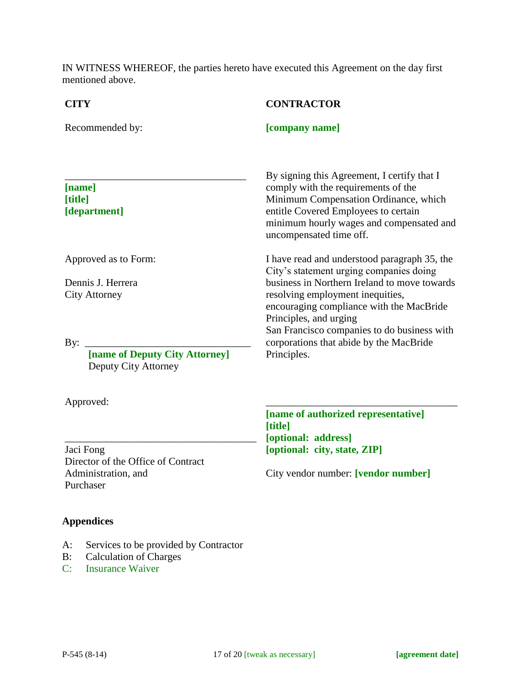IN WITNESS WHEREOF, the parties hereto have executed this Agreement on the day first mentioned above.

| <b>CITY</b>                                                   | <b>CONTRACTOR</b>                                                                                                                                                                                                                                               |
|---------------------------------------------------------------|-----------------------------------------------------------------------------------------------------------------------------------------------------------------------------------------------------------------------------------------------------------------|
| Recommended by:                                               | [company name]                                                                                                                                                                                                                                                  |
| [name]<br>[title]<br>[department]                             | By signing this Agreement, I certify that I<br>comply with the requirements of the<br>Minimum Compensation Ordinance, which<br>entitle Covered Employees to certain<br>minimum hourly wages and compensated and<br>uncompensated time off.                      |
| Approved as to Form:                                          | I have read and understood paragraph 35, the<br>City's statement urging companies doing                                                                                                                                                                         |
| Dennis J. Herrera<br><b>City Attorney</b>                     | business in Northern Ireland to move towards<br>resolving employment inequities,<br>encouraging compliance with the MacBride<br>Principles, and urging<br>San Francisco companies to do business with<br>corporations that abide by the MacBride<br>Principles. |
| By:<br>[name of Deputy City Attorney]<br>Deputy City Attorney |                                                                                                                                                                                                                                                                 |
| Approved:                                                     |                                                                                                                                                                                                                                                                 |
|                                                               | [name of authorized representative]<br>[title]<br>[optional: address]                                                                                                                                                                                           |

Jaci Fong Director of the Office of Contract Administration, and Purchaser

**[optional: address] [optional: city, state, ZIP]**

City vendor number: **[vendor number]**

# **Appendices**

- A: Services to be provided by Contractor
- B: Calculation of Charges
- C: Insurance Waiver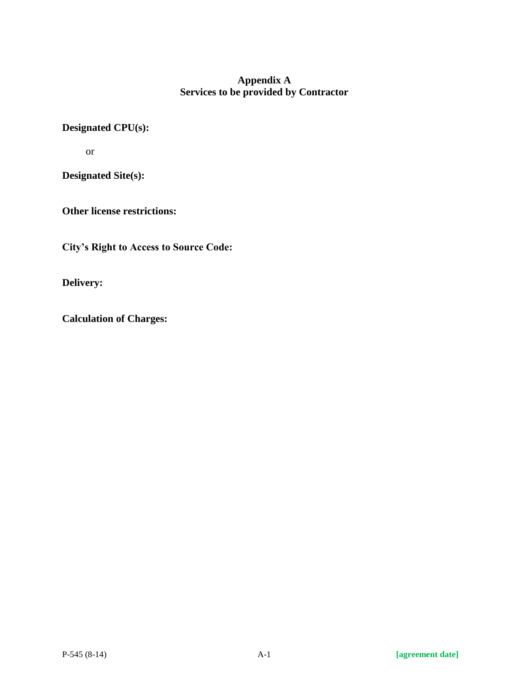## **Appendix A Services to be provided by Contractor**

# **Designated CPU(s):**

or

**Designated Site(s):** 

**Other license restrictions:** 

**City's Right to Access to Source Code:**

**Delivery:** 

**Calculation of Charges:**